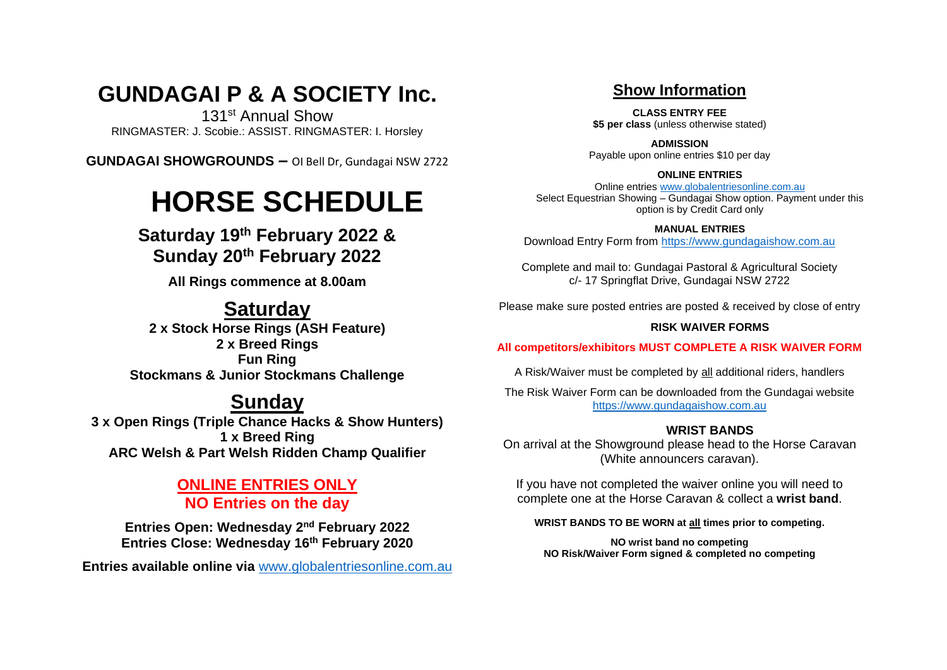# **GUNDAGAI P & A SOCIETY Inc.**

131st Annual Show RINGMASTER: J. Scobie.: ASSIST. RINGMASTER: I. Horsley

**GUNDAGAI SHOWGROUNDS –** OI Bell Dr, Gundagai NSW 2722

# **HORSE SCHEDULE**

**Saturday 19th February 2022 & Sunday 20th February 2022**

**All Rings commence at 8.00am**

# **Saturday**

**2 x Stock Horse Rings (ASH Feature) 2 x Breed Rings Fun Ring Stockmans & Junior Stockmans Challenge**

# **Sunday**

**3 x Open Rings (Triple Chance Hacks & Show Hunters) 1 x Breed Ring ARC Welsh & Part Welsh Ridden Champ Qualifier**

# **ONLINE ENTRIES ONLY NO Entries on the day**

**Entries Open: Wednesday 2nd February 2022 Entries Close: Wednesday 16th February 2020**

**Entries available online via** [www.globalentriesonline.com.au](http://www.globalentriesonline.com.au/)

# **Show Information**

**CLASS ENTRY FEE \$5 per class** (unless otherwise stated)

**ADMISSION** Payable upon online entries \$10 per day

# **ONLINE ENTRIES**

Online entries [www.globalentriesonline.com.au](http://www.globalentriesonline.com.au/) Select Equestrian Showing – Gundagai Show option. Payment under this option is by Credit Card only

# **MANUAL ENTRIES**

Download Entry Form from [https://www.gundagaishow.com.au](https://www.gundagaishow.com.au/)

Complete and mail to: Gundagai Pastoral & Agricultural Society c/- 17 Springflat Drive, Gundagai NSW 2722

Please make sure posted entries are posted & received by close of entry

# **RISK WAIVER FORMS**

# **All competitors/exhibitors MUST COMPLETE A RISK WAIVER FORM**

A Risk/Waiver must be completed by all additional riders, handlers

The Risk Waiver Form can be downloaded from the Gundagai website [https://www.gundagaishow.com.au](https://www.gundagaishow.com.au/)

# **WRIST BANDS**

On arrival at the Showground please head to the Horse Caravan (White announcers caravan).

If you have not completed the waiver online you will need to complete one at the Horse Caravan & collect a **wrist band**.

# **WRIST BANDS TO BE WORN at all times prior to competing.**

**NO wrist band no competing NO Risk/Waiver Form signed & completed no competing**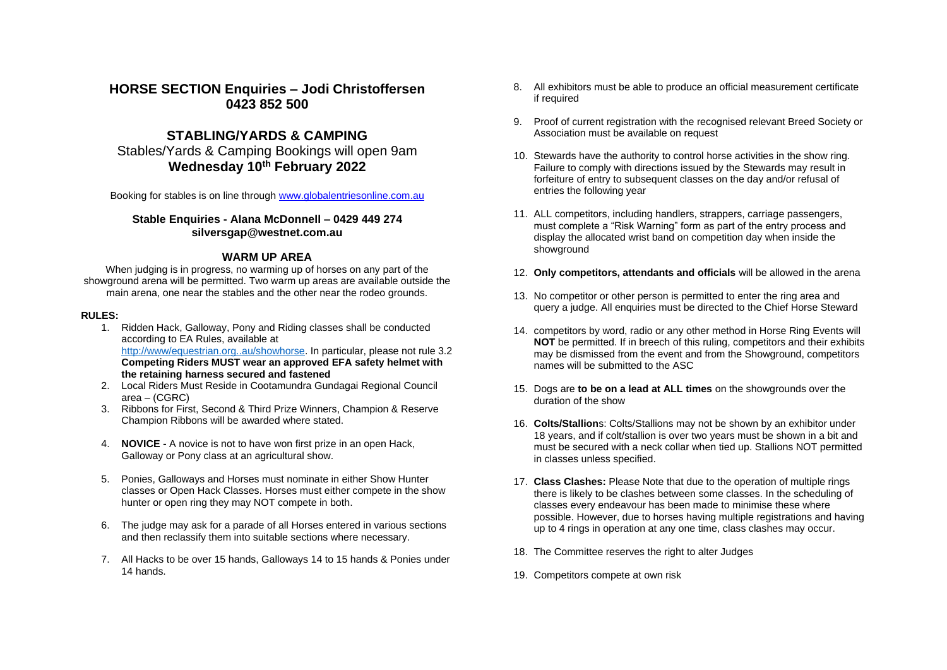# **HORSE SECTION Enquiries – Jodi Christoffersen 0423 852 500**

# **STABLING/YARDS & CAMPING**

Stables/Yards & Camping Bookings will open 9am **Wednesday 10th February 2022**

Booking for stables is on line through [www.globalentriesonline.com.au](http://www.globalentriesonline.com.au/)

# **Stable Enquiries - Alana McDonnell – 0429 449 274 silversgap@westnet.com.au**

# **WARM UP AREA**

When judging is in progress, no warming up of horses on any part of the showground arena will be permitted. Two warm up areas are available outside the main arena, one near the stables and the other near the rodeo grounds.

#### **RULES:**

- 1. Ridden Hack, Galloway, Pony and Riding classes shall be conducted according to EA Rules, available at [http://www/equestrian.org..au/showhorse.](http://www/equestrian.org..au/showhorse) In particular, please not rule 3.2 **Competing Riders MUST wear an approved EFA safety helmet with the retaining harness secured and fastened**
- 2. Local Riders Must Reside in Cootamundra Gundagai Regional Council area – (CGRC)
- 3. Ribbons for First, Second & Third Prize Winners, Champion & Reserve Champion Ribbons will be awarded where stated.
- 4. **NOVICE -** A novice is not to have won first prize in an open Hack, Galloway or Pony class at an agricultural show.
- 5. Ponies, Galloways and Horses must nominate in either Show Hunter classes or Open Hack Classes. Horses must either compete in the show hunter or open ring they may NOT compete in both.
- 6. The judge may ask for a parade of all Horses entered in various sections and then reclassify them into suitable sections where necessary.
- 7. All Hacks to be over 15 hands, Galloways 14 to 15 hands & Ponies under 14 hands.
- 8. All exhibitors must be able to produce an official measurement certificate if required
- 9. Proof of current registration with the recognised relevant Breed Society or Association must be available on request
- 10. Stewards have the authority to control horse activities in the show ring. Failure to comply with directions issued by the Stewards may result in forfeiture of entry to subsequent classes on the day and/or refusal of entries the following year
- 11. ALL competitors, including handlers, strappers, carriage passengers, must complete a "Risk Warning" form as part of the entry process and display the allocated wrist band on competition day when inside the showground
- 12. **Only competitors, attendants and officials** will be allowed in the arena
- 13. No competitor or other person is permitted to enter the ring area and query a judge. All enquiries must be directed to the Chief Horse Steward
- 14. competitors by word, radio or any other method in Horse Ring Events will **NOT** be permitted. If in breech of this ruling, competitors and their exhibits may be dismissed from the event and from the Showground, competitors names will be submitted to the ASC
- 15. Dogs are **to be on a lead at ALL times** on the showgrounds over the duration of the show
- 16. **Colts/Stallion**s: Colts/Stallions may not be shown by an exhibitor under 18 years, and if colt/stallion is over two years must be shown in a bit and must be secured with a neck collar when tied up. Stallions NOT permitted in classes unless specified.
- 17. **Class Clashes:** Please Note that due to the operation of multiple rings there is likely to be clashes between some classes. In the scheduling of classes every endeavour has been made to minimise these where possible. However, due to horses having multiple registrations and having up to 4 rings in operation at any one time, class clashes may occur.
- 18. The Committee reserves the right to alter Judges
- 19. Competitors compete at own risk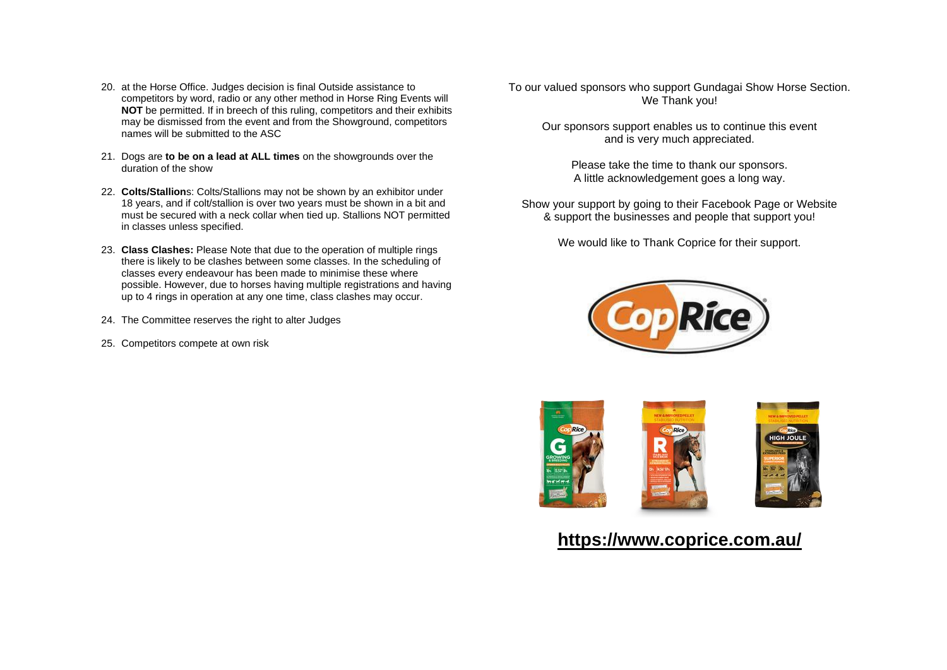- 20. at the Horse Office. Judges decision is final Outside assistance to competitors by word, radio or any other method in Horse Ring Events will **NOT** be permitted. If in breech of this ruling, competitors and their exhibits may be dismissed from the event and from the Showground, competitors names will be submitted to the ASC
- 21. Dogs are **to be on a lead at ALL times** on the showgrounds over the duration of the show
- 22. **Colts/Stallion**s: Colts/Stallions may not be shown by an exhibitor under 18 years, and if colt/stallion is over two years must be shown in a bit and must be secured with a neck collar when tied up. Stallions NOT permitted in classes unless specified.
- 23. **Class Clashes:** Please Note that due to the operation of multiple rings there is likely to be clashes between some classes. In the scheduling of classes every endeavour has been made to minimise these where possible. However, due to horses having multiple registrations and having up to 4 rings in operation at any one time, class clashes may occur.
- 24. The Committee reserves the right to alter Judges
- 25. Competitors compete at own risk

To our valued sponsors who support Gundagai Show Horse Section. We Thank you!

Our sponsors support enables us to continue this event and is very much appreciated.

Please take the time to thank our sponsors. A little acknowledgement goes a long way.

Show your support by going to their Facebook Page or Website & support the businesses and people that support you!

We would like to Thank Coprice for their support.





# **<https://www.coprice.com.au/>**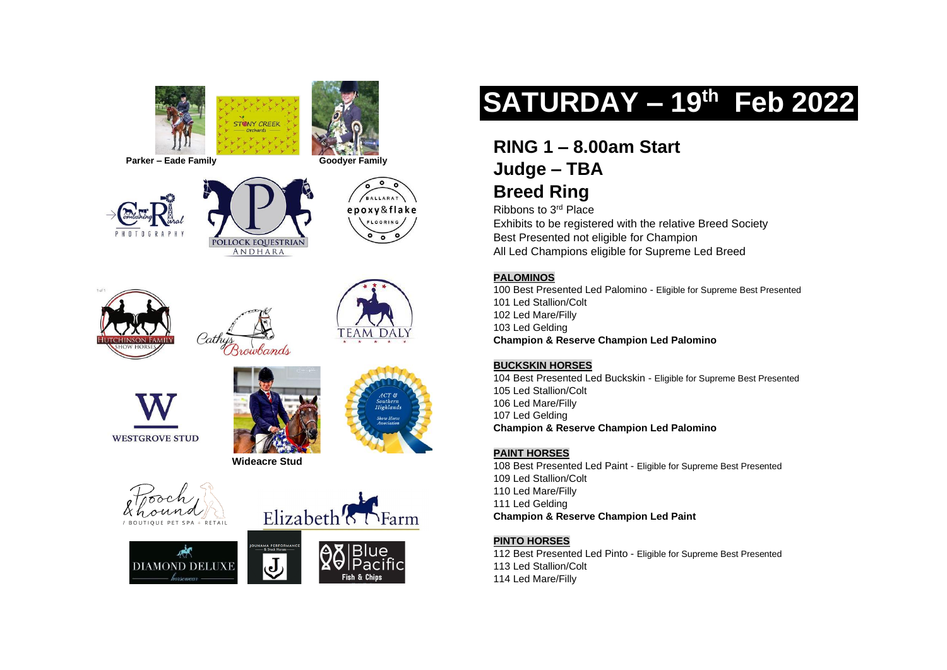





















# **SATURDAY – 19th Feb 2022**

# **RING 1 – 8.00am Start Judge – TBA**

# **Breed Ring** Ribbons to 3rd Place

Exhibits to be registered with the relative Breed Society

Best Presented not eligible for Champion All Led Champions eligible for Supreme Led Breed

# **PALOMINOS**

100 Best Presented Led Palomino - Eligible for Supreme Best Presented 101 Led Stallion/Colt 102 Led Mare/Filly 103 Led Gelding **Champion & Reserve Champion Led Palomino**

# **BUCKSKIN HORSES**

104 Best Presented Led Buckskin - Eligible for Supreme Best Presented 105 Led Stallion/Colt 106 Led Mare/Filly 107 Led Gelding **Champion & Reserve Champion Led Palomino**

# **PAINT HORSES**

108 Best Presented Led Paint - Eligible for Supreme Best Presented 109 Led Stallion/Colt 110 Led Mare/Filly 111 Led Gelding **Champion & Reserve Champion Led Paint**

# **PINTO HORSES**

112 Best Presented Led Pinto - Eligible for Supreme Best Presented 113 Led Stallion/Colt 114 Led Mare/Filly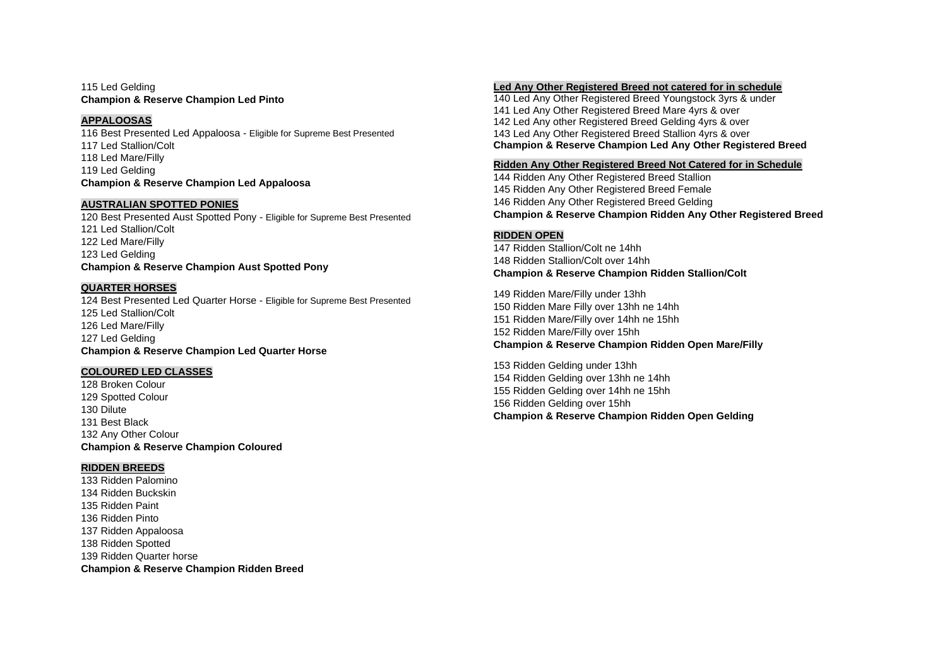115 Led Gelding **Champion & Reserve Champion Led Pinto**

#### **APPALOOSAS**

116 Best Presented Led Appaloosa - Eligible for Supreme Best Presented 117 Led Stallion/Colt 118 Led Mare/Filly 119 Led Gelding **Champion & Reserve Champion Led Appaloosa**

#### **AUSTRALIAN SPOTTED PONIES**

120 Best Presented Aust Spotted Pony - Eligible for Supreme Best Presented 121 Led Stallion/Colt 122 Led Mare/Filly 123 Led Gelding **Champion & Reserve Champion Aust Spotted Pony**

## **QUARTER HORSES**

124 Best Presented Led Quarter Horse - Eligible for Supreme Best Presented 125 Led Stallion/Colt 126 Led Mare/Filly 127 Led Gelding **Champion & Reserve Champion Led Quarter Horse**

#### **COLOURED LED CLASSES**

128 Broken Colour 129 Spotted Colour 130 Dilute 131 Best Black 132 Any Other Colour **Champion & Reserve Champion Coloured**

## **RIDDEN BREEDS**

133 Ridden Palomino 134 Ridden Buckskin 135 Ridden Paint 136 Ridden Pinto 137 Ridden Appaloosa 138 Ridden Spotted 139 Ridden Quarter horse **Champion & Reserve Champion Ridden Breed**

#### **Led Any Other Registered Breed not catered for in schedule**

140 Led Any Other Registered Breed Youngstock 3yrs & under 141 Led Any Other Registered Breed Mare 4yrs & over 142 Led Any other Registered Breed Gelding 4yrs & over 143 Led Any Other Registered Breed Stallion 4yrs & over **Champion & Reserve Champion Led Any Other Registered Breed**

#### **Ridden Any Other Registered Breed Not Catered for in Schedule**

144 Ridden Any Other Registered Breed Stallion 145 Ridden Any Other Registered Breed Female 146 Ridden Any Other Registered Breed Gelding **Champion & Reserve Champion Ridden Any Other Registered Breed**

#### **RIDDEN OPEN**

147 Ridden Stallion/Colt ne 14hh 148 Ridden Stallion/Colt over 14hh **Champion & Reserve Champion Ridden Stallion/Colt** 

 Ridden Mare/Filly under 13hh Ridden Mare Filly over 13hh ne 14hh Ridden Mare/Filly over 14hh ne 15hh Ridden Mare/Filly over 15hh **Champion & Reserve Champion Ridden Open Mare/Filly** 

 Ridden Gelding under 13hh Ridden Gelding over 13hh ne 14hh Ridden Gelding over 14hh ne 15hh Ridden Gelding over 15hh **Champion & Reserve Champion Ridden Open Gelding**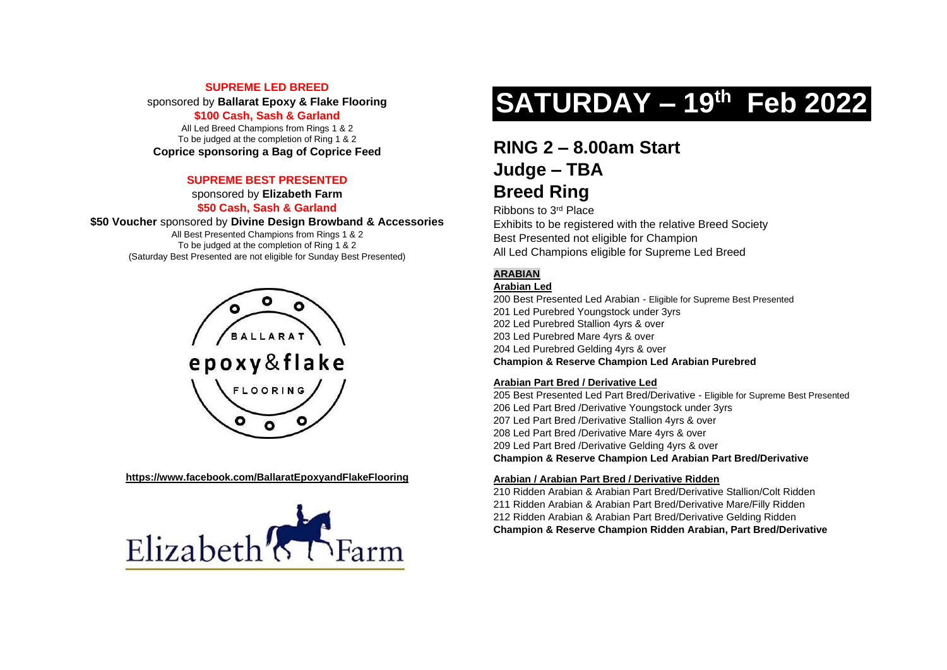# **SUPREME LED BREED**

sponsored by **Ballarat Epoxy & Flake Flooring**

# **\$100 Cash, Sash & Garland**

All Led Breed Champions from Rings 1 & 2 To be judged at the completion of Ring 1 & 2 **Coprice sponsoring a Bag of Coprice Feed**

# **SUPREME BEST PRESENTED**

sponsored by **Elizabeth Farm**

# **\$50 Cash, Sash & Garland**

**\$50 Voucher** sponsored by **Divine Design Browband & Accessories**

All Best Presented Champions from Rings 1 & 2 To be judged at the completion of Ring 1 & 2 (Saturday Best Presented are not eligible for Sunday Best Presented)



**<https://www.facebook.com/BallaratEpoxyandFlakeFlooring>**



# **SATURDAY – 19th Feb 2022**

# **RING 2 – 8.00am Start Judge – TBA**

# **Breed Ring**

Ribbons to 3rd Place

Exhibits to be registered with the relative Breed Society Best Presented not eligible for Champion All Led Champions eligible for Supreme Led Breed

# **ARABIAN**

# **Arabian Led**

200 Best Presented Led Arabian - Eligible for Supreme Best Presented 201 Led Purebred Youngstock under 3yrs 202 Led Purebred Stallion 4yrs & over 203 Led Purebred Mare 4yrs & over 204 Led Purebred Gelding 4yrs & over **Champion & Reserve Champion Led Arabian Purebred**

## **Arabian Part Bred / Derivative Led**

205 Best Presented Led Part Bred/Derivative - Eligible for Supreme Best Presented 206 Led Part Bred /Derivative Youngstock under 3yrs 207 Led Part Bred /Derivative Stallion 4yrs & over 208 Led Part Bred /Derivative Mare 4yrs & over 209 Led Part Bred /Derivative Gelding 4yrs & over **Champion & Reserve Champion Led Arabian Part Bred/Derivative** 

# **Arabian / Arabian Part Bred / Derivative Ridden**

 Ridden Arabian & Arabian Part Bred/Derivative Stallion/Colt Ridden Ridden Arabian & Arabian Part Bred/Derivative Mare/Filly Ridden Ridden Arabian & Arabian Part Bred/Derivative Gelding Ridden **Champion & Reserve Champion Ridden Arabian, Part Bred/Derivative**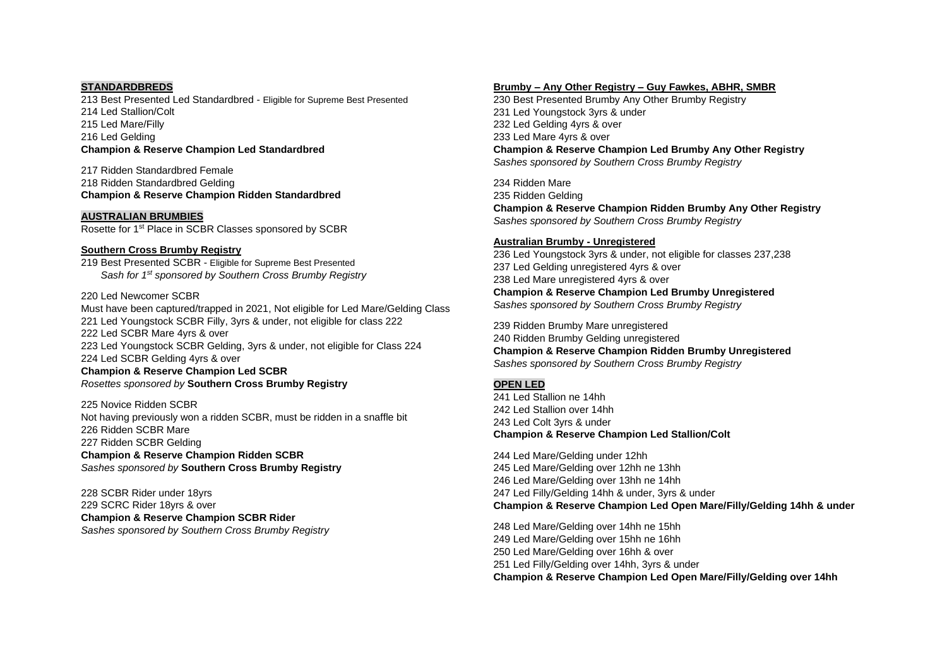#### **STANDARDBREDS**

 Best Presented Led Standardbred - Eligible for Supreme Best Presented Led Stallion/Colt Led Mare/Filly Led Gelding **Champion & Reserve Champion Led Standardbred**

217 Ridden Standardbred Female 218 Ridden Standardbred Gelding **Champion & Reserve Champion Ridden Standardbred**

#### **AUSTRALIAN BRUMBIES**

Rosette for 1st Place in SCBR Classes sponsored by SCBR

#### **Southern Cross Brumby Registry**

219 Best Presented SCBR - Eligible for Supreme Best Presented *Sash for 1st sponsored by Southern Cross Brumby Registry*

#### 220 Led Newcomer SCBR

Must have been captured/trapped in 2021, Not eligible for Led Mare/Gelding Class 221 Led Youngstock SCBR Filly, 3yrs & under, not eligible for class 222 222 Led SCBR Mare 4yrs & over 223 Led Youngstock SCBR Gelding, 3yrs & under, not eligible for Class 224 224 Led SCBR Gelding 4yrs & over **Champion & Reserve Champion Led SCBR**  *Rosettes sponsored by* **Southern Cross Brumby Registry**

225 Novice Ridden SCBR Not having previously won a ridden SCBR, must be ridden in a snaffle bit 226 Ridden SCBR Mare 227 Ridden SCBR Gelding **Champion & Reserve Champion Ridden SCBR** *Sashes sponsored by* **Southern Cross Brumby Registry**

228 SCBR Rider under 18yrs 229 SCRC Rider 18yrs & over **Champion & Reserve Champion SCBR Rider** *Sashes sponsored by Southern Cross Brumby Registry*

## **Brumby – Any Other Registry – Guy Fawkes, ABHR, SMBR**

230 Best Presented Brumby Any Other Brumby Registry 231 Led Youngstock 3yrs & under 232 Led Gelding 4yrs & over 233 Led Mare 4yrs & over **Champion & Reserve Champion Led Brumby Any Other Registry** *Sashes sponsored by Southern Cross Brumby Registry*

234 Ridden Mare 235 Ridden Gelding **Champion & Reserve Champion Ridden Brumby Any Other Registry** *Sashes sponsored by Southern Cross Brumby Registry*

#### **Australian Brumby - Unregistered**

236 Led Youngstock 3yrs & under, not eligible for classes 237,238 237 Led Gelding unregistered 4yrs & over 238 Led Mare unregistered 4yrs & over **Champion & Reserve Champion Led Brumby Unregistered** *Sashes sponsored by Southern Cross Brumby Registry*

239 Ridden Brumby Mare unregistered 240 Ridden Brumby Gelding unregistered **Champion & Reserve Champion Ridden Brumby Unregistered** *Sashes sponsored by Southern Cross Brumby Registry*

## **OPEN LED**

 Led Stallion ne 14hh Led Stallion over 14hh Led Colt 3yrs & under **Champion & Reserve Champion Led Stallion/Colt** 

 Led Mare/Gelding under 12hh Led Mare/Gelding over 12hh ne 13hh Led Mare/Gelding over 13hh ne 14hh Led Filly/Gelding 14hh & under, 3yrs & under **Champion & Reserve Champion Led Open Mare/Filly/Gelding 14hh & under** 

 Led Mare/Gelding over 14hh ne 15hh Led Mare/Gelding over 15hh ne 16hh Led Mare/Gelding over 16hh & over Led Filly/Gelding over 14hh, 3yrs & under **Champion & Reserve Champion Led Open Mare/Filly/Gelding over 14hh**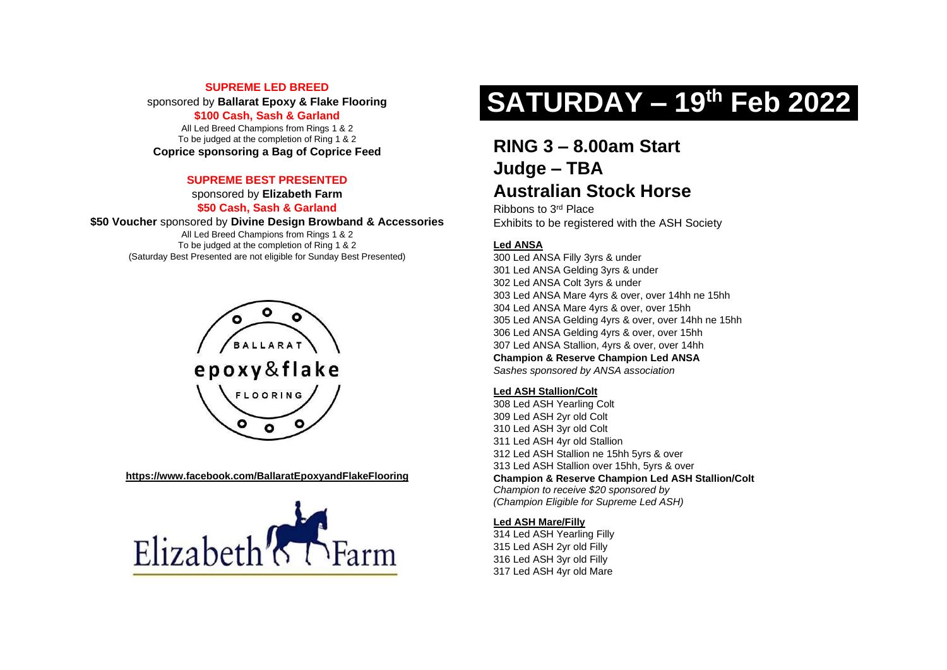# **SUPREME LED BREED**

sponsored by **Ballarat Epoxy & Flake Flooring**

# **\$100 Cash, Sash & Garland**

All Led Breed Champions from Rings 1 & 2 To be judged at the completion of Ring 1 & 2 **Coprice sponsoring a Bag of Coprice Feed**

# **SUPREME BEST PRESENTED**

sponsored by **Elizabeth Farm**

# **\$50 Cash, Sash & Garland**

**\$50 Voucher** sponsored by **Divine Design Browband & Accessories**

All Led Breed Champions from Rings 1 & 2 To be judged at the completion of Ring 1 & 2 (Saturday Best Presented are not eligible for Sunday Best Presented)



#### **<https://www.facebook.com/BallaratEpoxyandFlakeFlooring>**



# **SATURDAY – 19th Feb 2022**

# **RING 3 – 8.00am Start Judge – TBA Australian Stock Horse**

Ribbons to 3rd Place Exhibits to be registered with the ASH Society

# **Led ANSA**

300 Led ANSA Filly 3yrs & under 301 Led ANSA Gelding 3yrs & under 302 Led ANSA Colt 3yrs & under 303 Led ANSA Mare 4yrs & over, over 14hh ne 15hh 304 Led ANSA Mare 4yrs & over, over 15hh 305 Led ANSA Gelding 4yrs & over, over 14hh ne 15hh 306 Led ANSA Gelding 4yrs & over, over 15hh 307 Led ANSA Stallion, 4yrs & over, over 14hh **Champion & Reserve Champion Led ANSA** *Sashes sponsored by ANSA association*

# **Led ASH Stallion/Colt**

 Led ASH Yearling Colt Led ASH 2yr old Colt Led ASH 3yr old Colt Led ASH 4yr old Stallion Led ASH Stallion ne 15hh 5yrs & over Led ASH Stallion over 15hh, 5yrs & over **Champion & Reserve Champion Led ASH Stallion/Colt**  *Champion to receive \$20 sponsored by (Champion Eligible for Supreme Led ASH)*

## **Led ASH Mare/Filly**

 Led ASH Yearling Filly Led ASH 2yr old Filly Led ASH 3yr old Filly Led ASH 4yr old Mare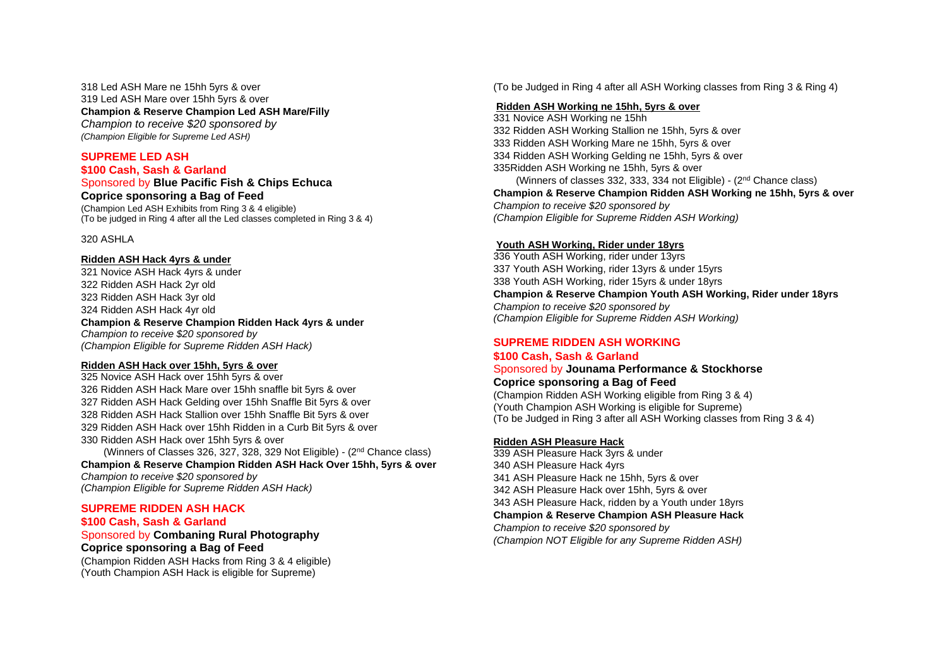318 Led ASH Mare ne 15hh 5yrs & over 319 Led ASH Mare over 15hh 5yrs & over **Champion & Reserve Champion Led ASH Mare/Filly**  *Champion to receive \$20 sponsored by (Champion Eligible for Supreme Led ASH)*

# **SUPREME LED ASH \$100 Cash, Sash & Garland**

Sponsored by **Blue Pacific Fish & Chips Echuca Coprice sponsoring a Bag of Feed**

(Champion Led ASH Exhibits from Ring 3 & 4 eligible) (To be judged in Ring 4 after all the Led classes completed in Ring 3 & 4)

#### 320 ASHLA

#### **Ridden ASH Hack 4yrs & under**

 Novice ASH Hack 4yrs & under Ridden ASH Hack 2yr old Ridden ASH Hack 3yr old Ridden ASH Hack 4yr old **Champion & Reserve Champion Ridden Hack 4yrs & under**

*Champion to receive \$20 sponsored by (Champion Eligible for Supreme Ridden ASH Hack)*

## **Ridden ASH Hack over 15hh, 5yrs & over**

 Novice ASH Hack over 15hh 5yrs & over Ridden ASH Hack Mare over 15hh snaffle bit 5yrs & over Ridden ASH Hack Gelding over 15hh Snaffle Bit 5yrs & over Ridden ASH Hack Stallion over 15hh Snaffle Bit 5yrs & over Ridden ASH Hack over 15hh Ridden in a Curb Bit 5yrs & over Ridden ASH Hack over 15hh 5yrs & over

 (Winners of Classes 326, 327, 328, 329 Not Eligible) - (2nd Chance class) **Champion & Reserve Champion Ridden ASH Hack Over 15hh, 5yrs & over** *Champion to receive \$20 sponsored by (Champion Eligible for Supreme Ridden ASH Hack)*

# **SUPREME RIDDEN ASH HACK**

## **\$100 Cash, Sash & Garland**

# Sponsored by **Combaning Rural Photography Coprice sponsoring a Bag of Feed**

(Champion Ridden ASH Hacks from Ring 3 & 4 eligible) (Youth Champion ASH Hack is eligible for Supreme)

(To be Judged in Ring 4 after all ASH Working classes from Ring 3 & Ring 4)

#### **Ridden ASH Working ne 15hh, 5yrs & over**

331 Novice ASH Working ne 15hh 332 Ridden ASH Working Stallion ne 15hh, 5yrs & over 333 Ridden ASH Working Mare ne 15hh, 5yrs & over 334 Ridden ASH Working Gelding ne 15hh, 5yrs & over 335Ridden ASH Working ne 15hh, 5yrs & over (Winners of classes 332, 333, 334 not Eligible) - (2nd Chance class) **Champion & Reserve Champion Ridden ASH Working ne 15hh, 5yrs & over** *Champion to receive \$20 sponsored by (Champion Eligible for Supreme Ridden ASH Working)*

## **Youth ASH Working, Rider under 18yrs**

336 Youth ASH Working, rider under 13yrs 337 Youth ASH Working, rider 13yrs & under 15yrs 338 Youth ASH Working, rider 15yrs & under 18yrs **Champion & Reserve Champion Youth ASH Working, Rider under 18yrs**  *Champion to receive \$20 sponsored by (Champion Eligible for Supreme Ridden ASH Working)*

# **SUPREME RIDDEN ASH WORKING**

## **\$100 Cash, Sash & Garland**

Sponsored by **Jounama Performance & Stockhorse**

# **Coprice sponsoring a Bag of Feed**

(Champion Ridden ASH Working eligible from Ring 3 & 4) (Youth Champion ASH Working is eligible for Supreme) (To be Judged in Ring 3 after all ASH Working classes from Ring 3 & 4)

# **Ridden ASH Pleasure Hack**

 ASH Pleasure Hack 3yrs & under ASH Pleasure Hack 4yrs ASH Pleasure Hack ne 15hh, 5yrs & over ASH Pleasure Hack over 15hh, 5yrs & over ASH Pleasure Hack, ridden by a Youth under 18yrs **Champion & Reserve Champion ASH Pleasure Hack** *Champion to receive \$20 sponsored by (Champion NOT Eligible for any Supreme Ridden ASH)*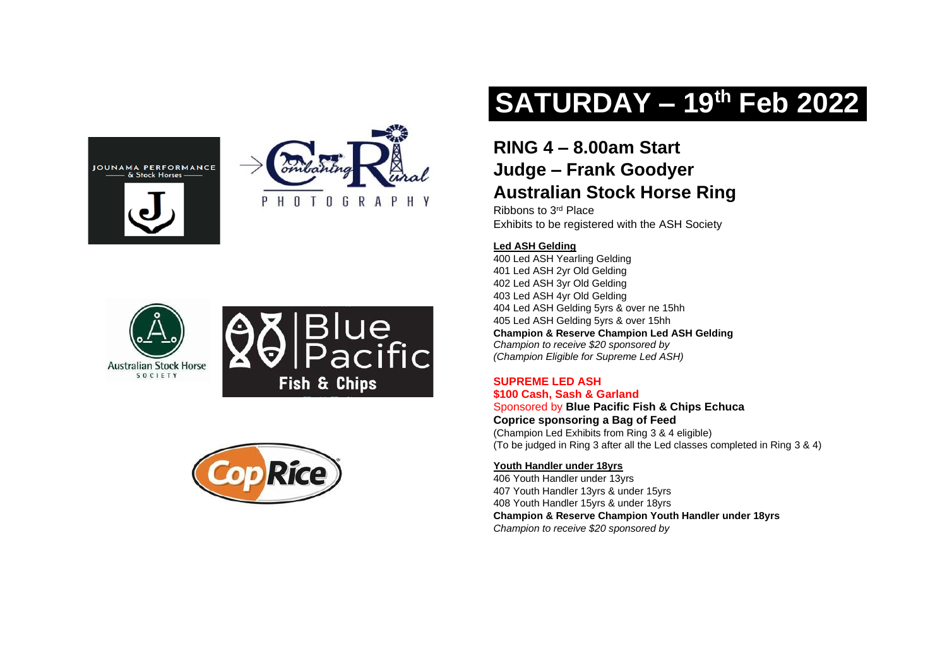









# **SATURDAY – 19th Feb 2022**

# **RING 4 – 8.00am Start Judge – Frank Goodyer Australian Stock Horse Ring**

Ribbons to 3rd Place Exhibits to be registered with the ASH Society

# **Led ASH Gelding**

400 Led ASH Yearling Gelding 401 Led ASH 2yr Old Gelding 402 Led ASH 3yr Old Gelding 403 Led ASH 4yr Old Gelding 404 Led ASH Gelding 5yrs & over ne 15hh 405 Led ASH Gelding 5yrs & over 15hh **Champion & Reserve Champion Led ASH Gelding** *Champion to receive \$20 sponsored by (Champion Eligible for Supreme Led ASH)*

# **SUPREME LED ASH**

**\$100 Cash, Sash & Garland** Sponsored by **Blue Pacific Fish & Chips Echuca Coprice sponsoring a Bag of Feed** (Champion Led Exhibits from Ring 3 & 4 eligible) (To be judged in Ring 3 after all the Led classes completed in Ring 3 & 4)

# **Youth Handler under 18yrs**

406 Youth Handler under 13yrs 407 Youth Handler 13yrs & under 15yrs 408 Youth Handler 15yrs & under 18yrs **Champion & Reserve Champion Youth Handler under 18yrs** *Champion to receive \$20 sponsored by*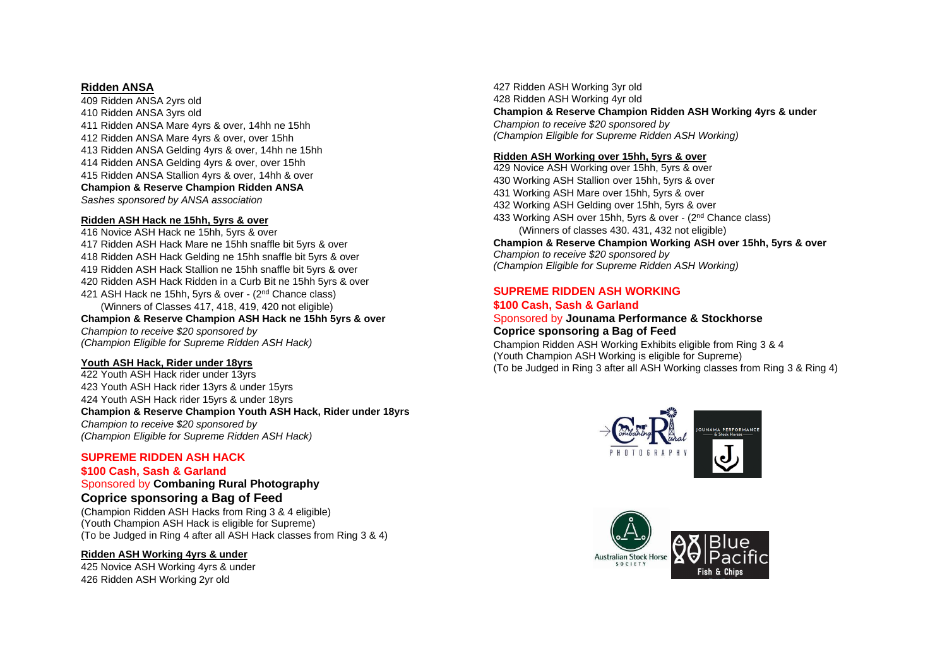## **Ridden ANSA**

 Ridden ANSA 2yrs old Ridden ANSA 3yrs old Ridden ANSA Mare 4yrs & over, 14hh ne 15hh Ridden ANSA Mare 4yrs & over, over 15hh Ridden ANSA Gelding 4yrs & over, 14hh ne 15hh Ridden ANSA Gelding 4yrs & over, over 15hh Ridden ANSA Stallion 4yrs & over, 14hh & over **Champion & Reserve Champion Ridden ANSA** *Sashes sponsored by ANSA association*

#### **Ridden ASH Hack ne 15hh, 5yrs & over**

416 Novice ASH Hack ne 15hh, 5yrs & over 417 Ridden ASH Hack Mare ne 15hh snaffle bit 5yrs & over 418 Ridden ASH Hack Gelding ne 15hh snaffle bit 5yrs & over 419 Ridden ASH Hack Stallion ne 15hh snaffle bit 5yrs & over 420 Ridden ASH Hack Ridden in a Curb Bit ne 15hh 5yrs & over 421 ASH Hack ne 15hh, 5yrs & over - (2<sup>nd</sup> Chance class) (Winners of Classes 417, 418, 419, 420 not eligible) **Champion & Reserve Champion ASH Hack ne 15hh 5yrs & over**  *Champion to receive \$20 sponsored by (Champion Eligible for Supreme Ridden ASH Hack)*

#### **Youth ASH Hack, Rider under 18yrs**

422 Youth ASH Hack rider under 13yrs 423 Youth ASH Hack rider 13yrs & under 15yrs 424 Youth ASH Hack rider 15yrs & under 18yrs **Champion & Reserve Champion Youth ASH Hack, Rider under 18yrs**  *Champion to receive \$20 sponsored by (Champion Eligible for Supreme Ridden ASH Hack)*

## **SUPREME RIDDEN ASH HACK**

# **\$100 Cash, Sash & Garland**

Sponsored by **Combaning Rural Photography Coprice sponsoring a Bag of Feed**

(Champion Ridden ASH Hacks from Ring 3 & 4 eligible) (Youth Champion ASH Hack is eligible for Supreme) (To be Judged in Ring 4 after all ASH Hack classes from Ring 3 & 4)

## **Ridden ASH Working 4yrs & under**

425 Novice ASH Working 4yrs & under 426 Ridden ASH Working 2yr old

427 Ridden ASH Working 3yr old 428 Ridden ASH Working 4yr old **Champion & Reserve Champion Ridden ASH Working 4yrs & under**  *Champion to receive \$20 sponsored by (Champion Eligible for Supreme Ridden ASH Working)*

## **Ridden ASH Working over 15hh, 5yrs & over**

 Novice ASH Working over 15hh, 5yrs & over Working ASH Stallion over 15hh, 5yrs & over Working ASH Mare over 15hh, 5yrs & over Working ASH Gelding over 15hh, 5yrs & over Working ASH over 15hh, 5yrs & over - (2nd Chance class) (Winners of classes 430. 431, 432 not eligible)

**Champion & Reserve Champion Working ASH over 15hh, 5yrs & over** *Champion to receive \$20 sponsored by (Champion Eligible for Supreme Ridden ASH Working)*

# **SUPREME RIDDEN ASH WORKING**

#### **\$100 Cash, Sash & Garland** Sponsored by **Jounama Performance & Stockhorse**

# **Coprice sponsoring a Bag of Feed**

Champion Ridden ASH Working Exhibits eligible from Ring 3 & 4 (Youth Champion ASH Working is eligible for Supreme) (To be Judged in Ring 3 after all ASH Working classes from Ring 3 & Ring 4)



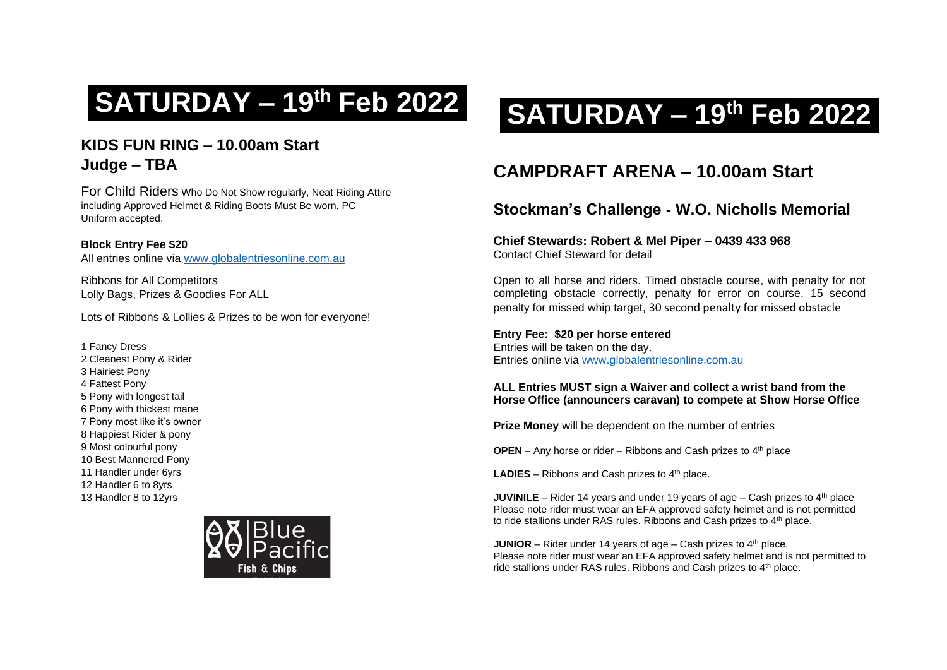# **KIDS FUN RING – 10.00am Start Judge – TBA**

For Child Riders Who Do Not Show regularly, Neat Riding Attire including Approved Helmet & Riding Boots Must Be worn, PC Uniform accepted.

**Block Entry Fee \$20** All entries online via [www.globalentriesonline.com.au](http://www.globalentriesonline.com.au/)

Ribbons for All Competitors Lolly Bags, Prizes & Goodies For ALL

Lots of Ribbons & Lollies & Prizes to be won for everyone!

1 Fancy Dress 2 Cleanest Pony & Rider 3 Hairiest Pony 4 Fattest Pony 5 Pony with longest tail 6 Pony with thickest mane 7 Pony most like it's owner 8 Happiest Rider & pony 9 Most colourful pony 10 Best Mannered Pony 11 Handler under 6yrs 12 Handler 6 to 8yrs 13 Handler 8 to 12yrs



# **SATURDAY – <sup>19</sup>th Feb 2022 SATURDAY – <sup>19</sup>th Feb 2022**

# **CAMPDRAFT ARENA – 10.00am Start**

# **Stockman's Challenge - W.O. Nicholls Memorial**

# **Chief Stewards: Robert & Mel Piper – 0439 433 968** Contact Chief Steward for detail

Open to all horse and riders. Timed obstacle course, with penalty for not completing obstacle correctly, penalty for error on course. 15 second penalty for missed whip target, 30 second penalty for missed obstacle

**Entry Fee: \$20 per horse entered** Entries will be taken on the day. Entries online via [www.globalentriesonline.com.au](http://www.globalentriesonline.com.au/)

# **ALL Entries MUST sign a Waiver and collect a wrist band from the Horse Office (announcers caravan) to compete at Show Horse Office**

**Prize Money** will be dependent on the number of entries

**OPEN** – Any horse or rider – Ribbons and Cash prizes to  $4<sup>th</sup>$  place

**LADIES** – Ribbons and Cash prizes to  $4<sup>th</sup>$  place.

**JUVINILE** – Rider 14 years and under 19 years of age – Cash prizes to  $4<sup>th</sup>$  place Please note rider must wear an EFA approved safety helmet and is not permitted to ride stallions under RAS rules. Ribbons and Cash prizes to 4<sup>th</sup> place.

**JUNIOR** – Rider under 14 years of age – Cash prizes to  $4<sup>th</sup>$  place. Please note rider must wear an EFA approved safety helmet and is not permitted to ride stallions under RAS rules. Ribbons and Cash prizes to 4<sup>th</sup> place.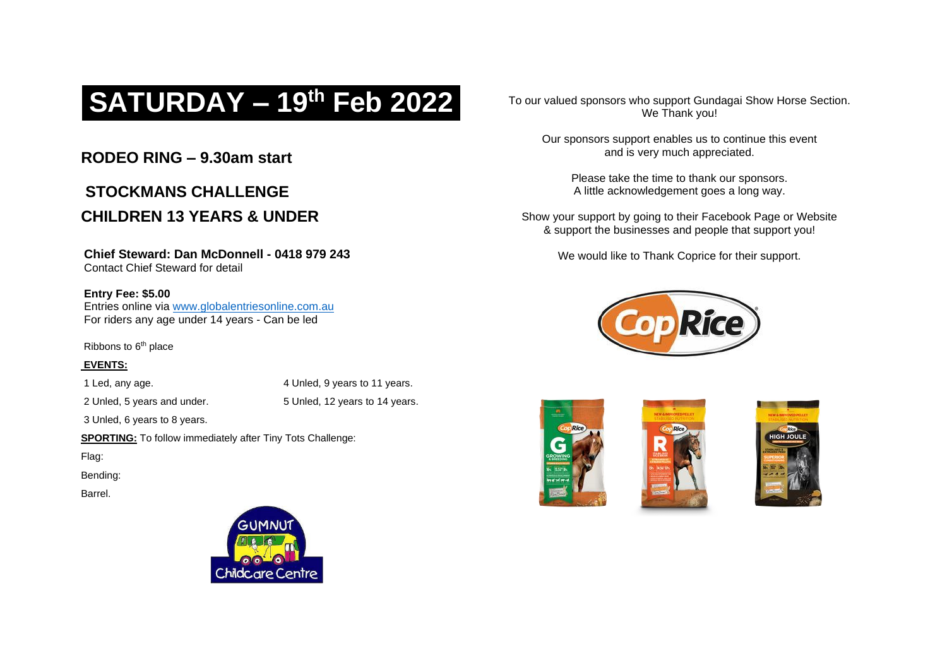# **SATURDAY – 19th Feb 2022**

# **RODEO RING – 9.30am start**

# **STOCKMANS CHALL FNGF CHILDREN 13 YEARS & UNDER**

# **Chief Steward: Dan McDonnell - 0418 979 243**

Contact Chief Steward for detail

# **Entry Fee: \$5.00**

Entries online via [www.globalentriesonline.com.au](http://www.globalentriesonline.com.au/) For riders any age under 14 years - Can be led

Ribbons to 6<sup>th</sup> place

# **EVENTS:**

1 Led, any age. 4 Unled, 9 years to 11 years.

2 Unled, 5 years and under. 5 Unled, 12 years to 14 years.

3 Unled, 6 years to 8 years.

**SPORTING:** To follow immediately after Tiny Tots Challenge:

Flag:

Bending:

Barrel.



To our valued sponsors who support Gundagai Show Horse Section. We Thank you!

Our sponsors support enables us to continue this event and is very much appreciated.

Please take the time to thank our sponsors. A little acknowledgement goes a long way.

Show your support by going to their Facebook Page or Website & support the businesses and people that support you!

We would like to Thank Coprice for their support.







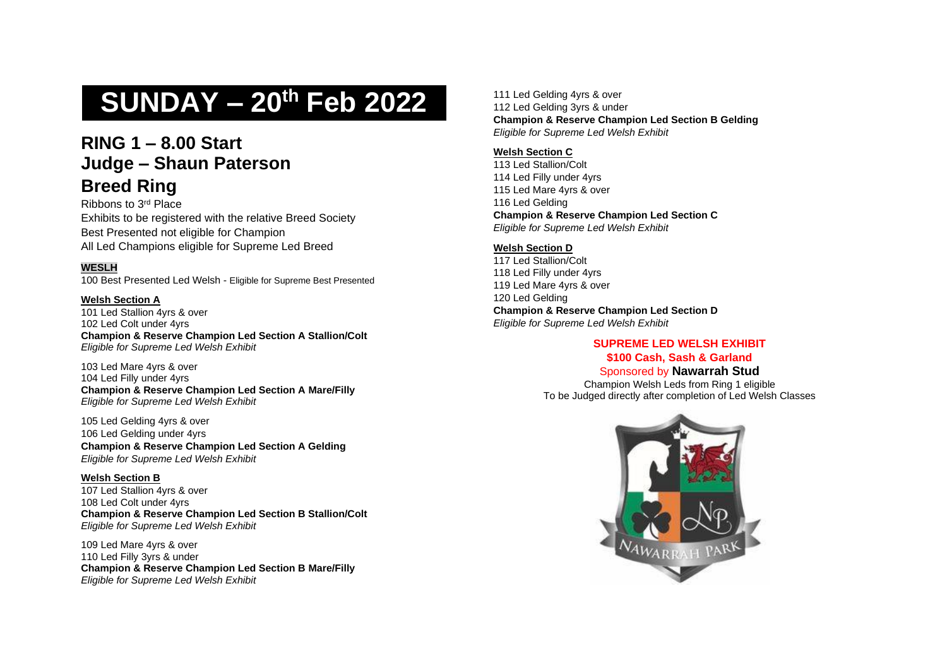# **SUNDAY – 20th Feb 2022**

# **RING 1 – 8.00 Start Judge – Shaun Paterson Breed Ring**

Ribbons to 3rd Place Exhibits to be registered with the relative Breed Society Best Presented not eligible for Champion All Led Champions eligible for Supreme Led Breed

# **WESLH**

100 Best Presented Led Welsh - Eligible for Supreme Best Presented

## **Welsh Section A**

101 Led Stallion 4yrs & over 102 Led Colt under 4yrs **Champion & Reserve Champion Led Section A Stallion/Colt**  *Eligible for Supreme Led Welsh Exhibit* 

103 Led Mare 4yrs & over 104 Led Filly under 4yrs **Champion & Reserve Champion Led Section A Mare/Filly** *Eligible for Supreme Led Welsh Exhibit* 

105 Led Gelding 4yrs & over 106 Led Gelding under 4yrs **Champion & Reserve Champion Led Section A Gelding** *Eligible for Supreme Led Welsh Exhibit* 

**Welsh Section B** 107 Led Stallion 4yrs & over 108 Led Colt under 4yrs **Champion & Reserve Champion Led Section B Stallion/Colt** *Eligible for Supreme Led Welsh Exhibit* 

109 Led Mare 4yrs & over 110 Led Filly 3yrs & under **Champion & Reserve Champion Led Section B Mare/Filly** *Eligible for Supreme Led Welsh Exhibit* 

111 Led Gelding 4yrs & over 112 Led Gelding 3yrs & under **Champion & Reserve Champion Led Section B Gelding** *Eligible for Supreme Led Welsh Exhibit* 

## **Welsh Section C**

 Led Stallion/Colt Led Filly under 4yrs Led Mare 4yrs & over Led Gelding **Champion & Reserve Champion Led Section C**  *Eligible for Supreme Led Welsh Exhibit* 

# **Welsh Section D**

 Led Stallion/Colt Led Filly under 4yrs Led Mare 4yrs & over Led Gelding **Champion & Reserve Champion Led Section D**  *Eligible for Supreme Led Welsh Exhibit* 

# **SUPREME LED WELSH EXHIBIT**

**\$100 Cash, Sash & Garland** Sponsored by **Nawarrah Stud**

Champion Welsh Leds from Ring 1 eligible To be Judged directly after completion of Led Welsh Classes

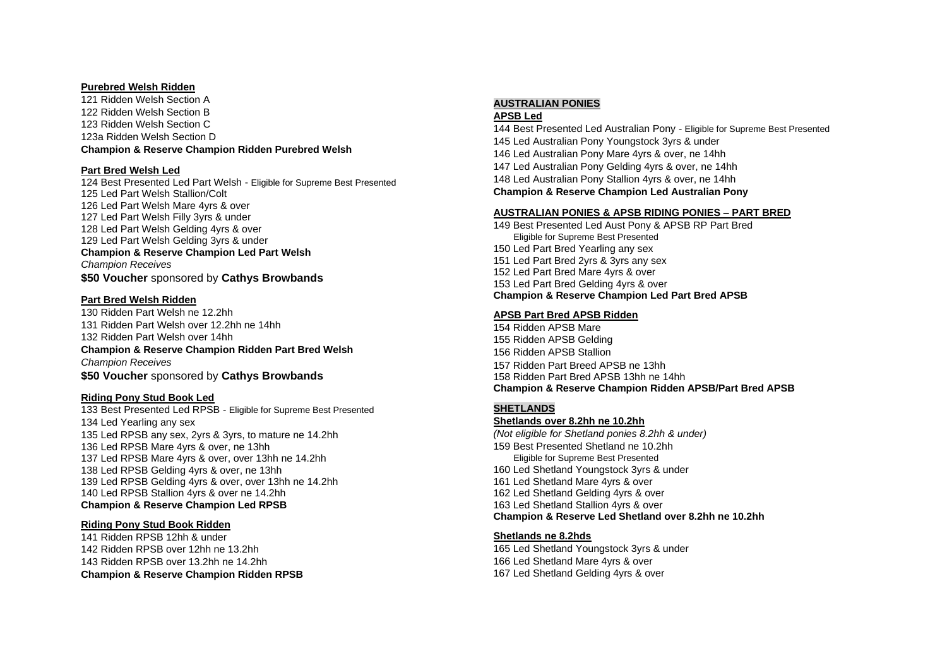#### **Purebred Welsh Ridden**

 Ridden Welsh Section A Ridden Welsh Section B Ridden Welsh Section C 123a Ridden Welsh Section D **Champion & Reserve Champion Ridden Purebred Welsh**

#### **Part Bred Welsh Led**

 Best Presented Led Part Welsh - Eligible for Supreme Best Presented Led Part Welsh Stallion/Colt Led Part Welsh Mare 4yrs & over Led Part Welsh Filly 3yrs & under Led Part Welsh Gelding 4yrs & over Led Part Welsh Gelding 3yrs & under **Champion & Reserve Champion Led Part Welsh** *Champion Receives*

**\$50 Voucher** sponsored by **Cathys Browbands**

#### **Part Bred Welsh Ridden**

 Ridden Part Welsh ne 12.2hh Ridden Part Welsh over 12.2hh ne 14hh Ridden Part Welsh over 14hh **Champion & Reserve Champion Ridden Part Bred Welsh**  *Champion Receives* **\$50 Voucher** sponsored by **Cathys Browbands**

## **Riding Pony Stud Book Led**

 Best Presented Led RPSB - Eligible for Supreme Best Presented Led Yearling any sex Led RPSB any sex, 2yrs & 3yrs, to mature ne 14.2hh Led RPSB Mare 4yrs & over, ne 13hh Led RPSB Mare 4yrs & over, over 13hh ne 14.2hh Led RPSB Gelding 4yrs & over, ne 13hh Led RPSB Gelding 4yrs & over, over 13hh ne 14.2hh Led RPSB Stallion 4yrs & over ne 14.2hh **Champion & Reserve Champion Led RPSB**

#### **Riding Pony Stud Book Ridden**

 Ridden RPSB 12hh & under Ridden RPSB over 12hh ne 13.2hh Ridden RPSB over 13.2hh ne 14.2hh **Champion & Reserve Champion Ridden RPSB**

# **AUSTRALIAN PONIES**

**APSB Led**

 Best Presented Led Australian Pony - Eligible for Supreme Best Presented Led Australian Pony Youngstock 3yrs & under Led Australian Pony Mare 4yrs & over, ne 14hh Led Australian Pony Gelding 4yrs & over, ne 14hh Led Australian Pony Stallion 4yrs & over, ne 14hh **Champion & Reserve Champion Led Australian Pony** 

#### **AUSTRALIAN PONIES & APSB RIDING PONIES – PART BRED**

 Best Presented Led Aust Pony & APSB RP Part Bred Eligible for Supreme Best Presented Led Part Bred Yearling any sex Led Part Bred 2yrs & 3yrs any sex Led Part Bred Mare 4yrs & over Led Part Bred Gelding 4yrs & over **Champion & Reserve Champion Led Part Bred APSB**

#### **APSB Part Bred APSB Ridden**

 Ridden APSB Mare Ridden APSB Gelding Ridden APSB Stallion Ridden Part Breed APSB ne 13hh Ridden Part Bred APSB 13hh ne 14hh **Champion & Reserve Champion Ridden APSB/Part Bred APSB**

# **SHETLANDS**

**Shetlands over 8.2hh ne 10.2hh**

*(Not eligible for Shetland ponies 8.2hh & under)* Best Presented Shetland ne 10.2hh Eligible for Supreme Best Presented Led Shetland Youngstock 3yrs & under Led Shetland Mare 4yrs & over Led Shetland Gelding 4yrs & over Led Shetland Stallion 4yrs & over **Champion & Reserve Led Shetland over 8.2hh ne 10.2hh**

## **Shetlands ne 8.2hds**

 Led Shetland Youngstock 3yrs & under Led Shetland Mare 4yrs & over Led Shetland Gelding 4yrs & over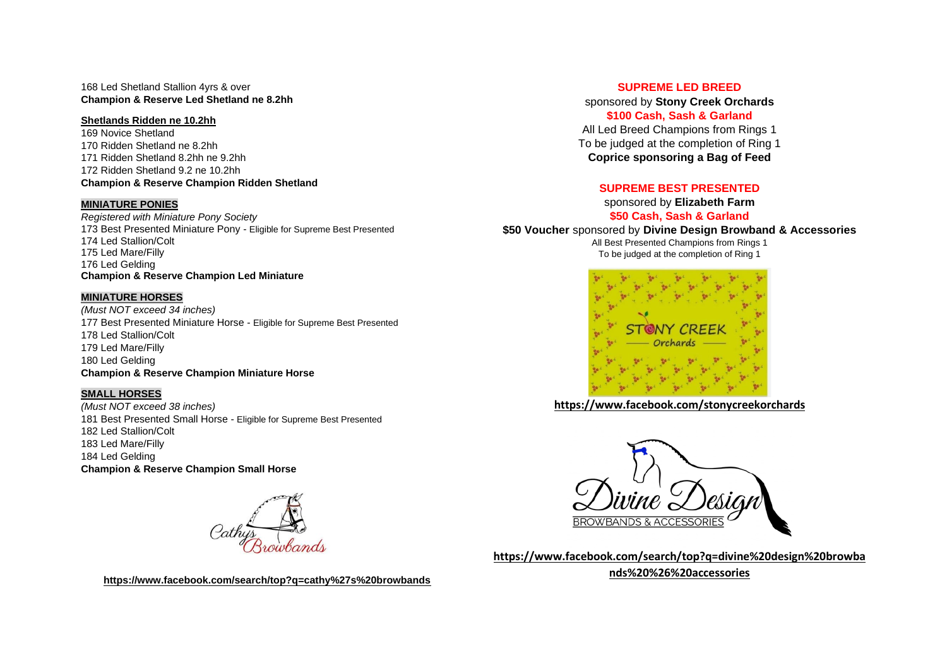168 Led Shetland Stallion 4yrs & over **Champion & Reserve Led Shetland ne 8.2hh**

#### **Shetlands Ridden ne 10.2hh**

 Novice Shetland Ridden Shetland ne 8.2hh Ridden Shetland 8.2hh ne 9.2hh Ridden Shetland 9.2 ne 10.2hh

## **Champion & Reserve Champion Ridden Shetland**

#### **MINIATURE PONIES**

*Registered with Miniature Pony Society* Best Presented Miniature Pony - Eligible for Supreme Best Presented Led Stallion/Colt Led Mare/Filly Led Gelding **Champion & Reserve Champion Led Miniature**

## **MINIATURE HORSES**

*(Must NOT exceed 34 inches)* Best Presented Miniature Horse - Eligible for Supreme Best Presented Led Stallion/Colt Led Mare/Filly Led Gelding **Champion & Reserve Champion Miniature Horse**

# **SMALL HORSES**

*(Must NOT exceed 38 inches)* Best Presented Small Horse - Eligible for Supreme Best Presented Led Stallion/Colt Led Mare/Filly Led Gelding **Champion & Reserve Champion Small Horse**



**<https://www.facebook.com/search/top?q=cathy%27s%20browbands>**

## **SUPREME LED BREED**

sponsored by **Stony Creek Orchards \$100 Cash, Sash & Garland** All Led Breed Champions from Rings 1 To be judged at the completion of Ring 1 **Coprice sponsoring a Bag of Feed**

# **SUPREME BEST PRESENTED**

sponsored by **Elizabeth Farm \$50 Cash, Sash & Garland**

**\$50 Voucher** sponsored by **Divine Design Browband & Accessories**

All Best Presented Champions from Rings 1 To be judged at the completion of Ring 1



**<https://www.facebook.com/stonycreekorchards>**



**[https://www.facebook.com/search/top?q=divine%20design%20browba](https://www.facebook.com/search/top?q=divine%20design%20browbands%20%26%20accessories) [nds%20%26%20accessories](https://www.facebook.com/search/top?q=divine%20design%20browbands%20%26%20accessories)**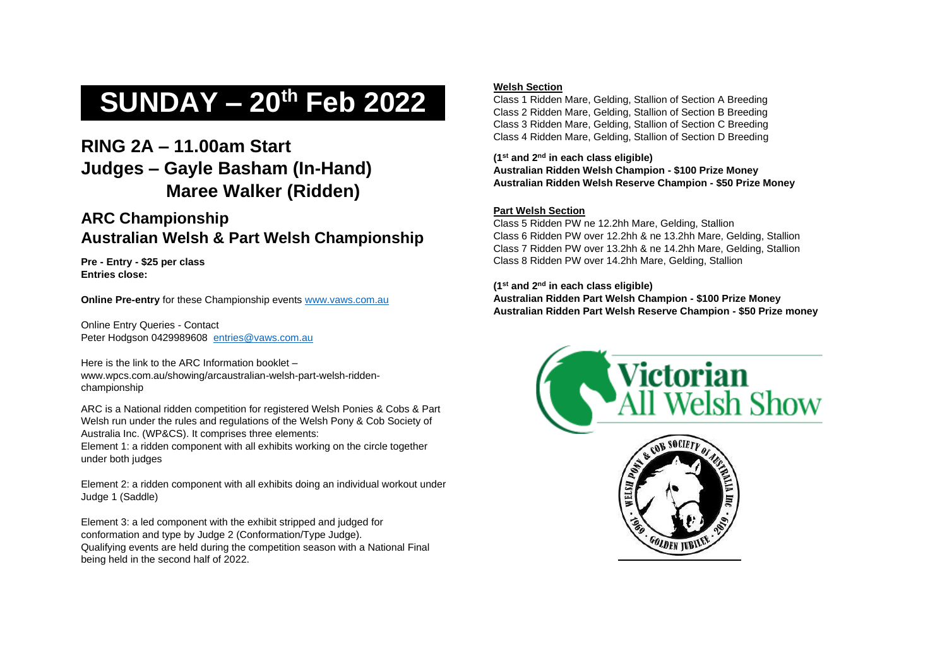# **SUNDAY – 20th Feb 2022**

# **RING 2A – 11.00am Start Judges – Gayle Basham (In-Hand) Maree Walker (Ridden)**

# **ARC Championship Australian Welsh & Part Welsh Championship**

**Pre - Entry - \$25 per class Entries close:** 

**Online Pre-entry** for these Championship events [www.vaws.com.au](http://www.vaws.com.au/)

Online Entry Queries - Contact Peter Hodgson 0429989608 [entries@vaws.com.au](mailto:entries@vaws.com.au)

Here is the link to the ARC Information booklet – www.wpcs.com.au/showing/arcaustralian-welsh-part-welsh-riddenchampionship

ARC is a National ridden competition for registered Welsh Ponies & Cobs & Part Welsh run under the rules and regulations of the Welsh Pony & Cob Society of Australia Inc. (WP&CS). It comprises three elements:

Element 1: a ridden component with all exhibits working on the circle together under both judges

Element 2: a ridden component with all exhibits doing an individual workout under Judge 1 (Saddle)

Element 3: a led component with the exhibit stripped and judged for conformation and type by Judge 2 (Conformation/Type Judge). Qualifying events are held during the competition season with a National Final being held in the second half of 2022.

# **Welsh Section**

Class 1 Ridden Mare, Gelding, Stallion of Section A Breeding Class 2 Ridden Mare, Gelding, Stallion of Section B Breeding Class 3 Ridden Mare, Gelding, Stallion of Section C Breeding Class 4 Ridden Mare, Gelding, Stallion of Section D Breeding

**(1st and 2nd in each class eligible) Australian Ridden Welsh Champion - \$100 Prize Money Australian Ridden Welsh Reserve Champion - \$50 Prize Money**

# **Part Welsh Section**

Class 5 Ridden PW ne 12.2hh Mare, Gelding, Stallion Class 6 Ridden PW over 12.2hh & ne 13.2hh Mare, Gelding, Stallion Class 7 Ridden PW over 13.2hh & ne 14.2hh Mare, Gelding, Stallion Class 8 Ridden PW over 14.2hh Mare, Gelding, Stallion

**(1st and 2nd in each class eligible) Australian Ridden Part Welsh Champion - \$100 Prize Money Australian Ridden Part Welsh Reserve Champion - \$50 Prize money**



**GOLDEN JUBI**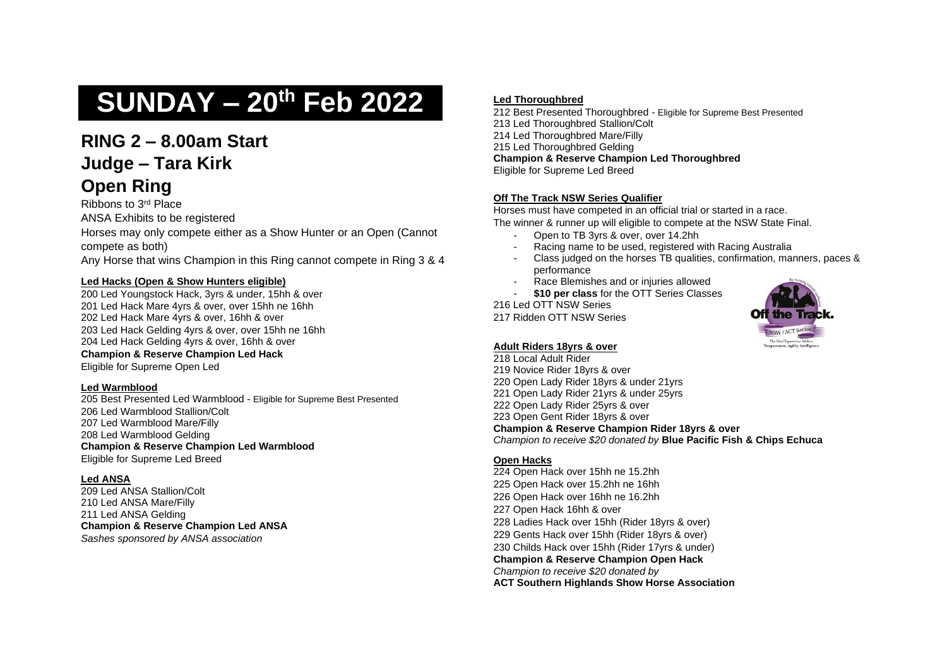# **SUNDAY – 20th Feb 2022**

# **RING 2 – 8.00am Start Judge – Tara Kirk Open Ring**

Ribbons to 3rd Place

ANSA Exhibits to be registered

Horses may only compete either as a Show Hunter or an Open (Cannot compete as both)

Any Horse that wins Champion in this Ring cannot compete in Ring 3 & 4

# **Led Hacks (Open & Show Hunters eligible)**

 Led Youngstock Hack, 3yrs & under, 15hh & over 201 Led Hack Mare 4yrs & over, over 15hh ne 16hh Led Hack Mare 4yrs & over, 16hh & over Led Hack Gelding 4yrs & over, over 15hh ne 16hh Led Hack Gelding 4yrs & over, 16hh & over **Champion & Reserve Champion Led Hack** 

Eligible for Supreme Open Led

# **Led Warmblood**

 Best Presented Led Warmblood - Eligible for Supreme Best Presented Led Warmblood Stallion/Colt Led Warmblood Mare/Filly Led Warmblood Gelding **Champion & Reserve Champion Led Warmblood** Eligible for Supreme Led Breed

# **Led ANSA**

209 Led ANSA Stallion/Colt 210 Led ANSA Mare/Filly 211 Led ANSA Gelding **Champion & Reserve Champion Led ANSA**  *Sashes sponsored by ANSA association*

# **Led Thoroughbred**

 Best Presented Thoroughbred - Eligible for Supreme Best Presented Led Thoroughbred Stallion/Colt Led Thoroughbred Mare/Filly Led Thoroughbred Gelding **Champion & Reserve Champion Led Thoroughbred** Eligible for Supreme Led Breed

# **Off The Track NSW Series Qualifier**

Horses must have competed in an official trial or started in a race. The winner & runner up will eligible to compete at the NSW State Final.

- Open to TB 3yrs & over, over 14.2hh
- Racing name to be used, registered with Racing Australia
- Class judged on the horses TB qualities, confirmation, manners, paces & performance
- Race Blemishes and or injuries allowed
- \$10 per class for the OTT Series Classes

216 Led OTT NSW Series 217 Ridden OTT NSW Series



## **Adult Riders 18yrs & over**

 Local Adult Rider Novice Rider 18yrs & over Open Lady Rider 18yrs & under 21yrs Open Lady Rider 21yrs & under 25yrs Open Lady Rider 25yrs & over Open Gent Rider 18yrs & over **Champion & Reserve Champion Rider 18yrs & over** *Champion to receive \$20 donated by* **Blue Pacific Fish & Chips Echuca**

# **Open Hacks**

 Open Hack over 15hh ne 15.2hh Open Hack over 15.2hh ne 16hh Open Hack over 16hh ne 16.2hh Open Hack 16hh & over Ladies Hack over 15hh (Rider 18yrs & over) Gents Hack over 15hh (Rider 18yrs & over) Childs Hack over 15hh (Rider 17yrs & under) **Champion & Reserve Champion Open Hack** *Champion to receive \$20 donated by* **ACT Southern Highlands Show Horse Association**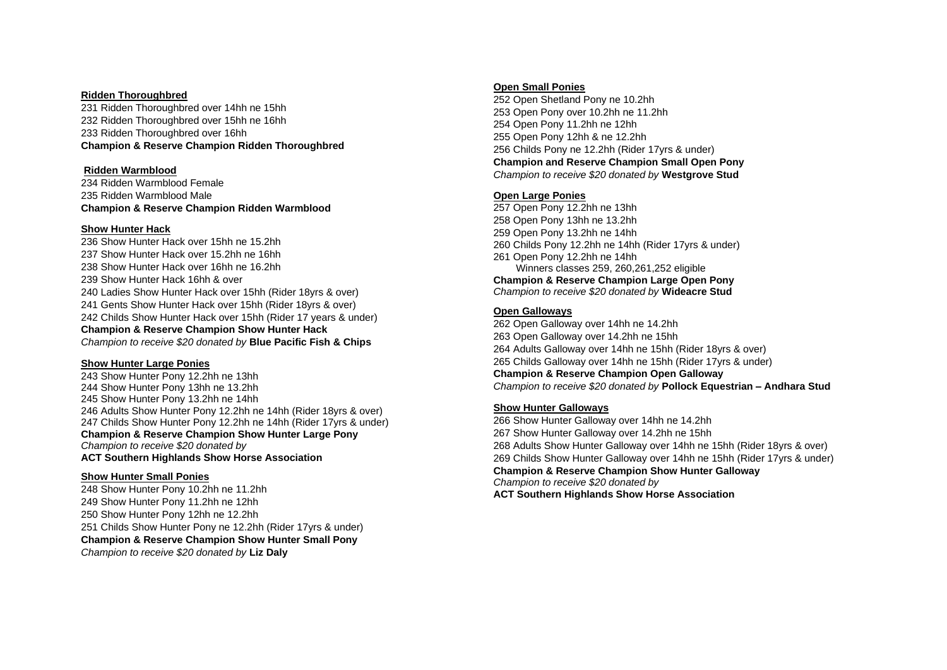#### **Ridden Thoroughbred**

231 Ridden Thoroughbred over 14hh ne 15hh 232 Ridden Thoroughbred over 15hh ne 16hh 233 Ridden Thoroughbred over 16hh **Champion & Reserve Champion Ridden Thoroughbred**

#### **Ridden Warmblood**

234 Ridden Warmblood Female 235 Ridden Warmblood Male **Champion & Reserve Champion Ridden Warmblood**

#### **Show Hunter Hack**

 Show Hunter Hack over 15hh ne 15.2hh Show Hunter Hack over 15.2hh ne 16hh Show Hunter Hack over 16hh ne 16.2hh Show Hunter Hack 16hh & over Ladies Show Hunter Hack over 15hh (Rider 18yrs & over) Gents Show Hunter Hack over 15hh (Rider 18yrs & over) Childs Show Hunter Hack over 15hh (Rider 17 years & under) **Champion & Reserve Champion Show Hunter Hack** *Champion to receive \$20 donated by* **Blue Pacific Fish & Chips**

#### **Show Hunter Large Ponies**

 Show Hunter Pony 12.2hh ne 13hh Show Hunter Pony 13hh ne 13.2hh Show Hunter Pony 13.2hh ne 14hh Adults Show Hunter Pony 12.2hh ne 14hh (Rider 18yrs & over) Childs Show Hunter Pony 12.2hh ne 14hh (Rider 17yrs & under) **Champion & Reserve Champion Show Hunter Large Pony** *Champion to receive \$20 donated by* **ACT Southern Highlands Show Horse Association**

#### **Show Hunter Small Ponies**

 Show Hunter Pony 10.2hh ne 11.2hh Show Hunter Pony 11.2hh ne 12hh Show Hunter Pony 12hh ne 12.2hh Childs Show Hunter Pony ne 12.2hh (Rider 17yrs & under) **Champion & Reserve Champion Show Hunter Small Pony**  *Champion to receive \$20 donated by* **Liz Daly**

#### **Open Small Ponies**

 Open Shetland Pony ne 10.2hh Open Pony over 10.2hh ne 11.2hh Open Pony 11.2hh ne 12hh Open Pony 12hh & ne 12.2hh Childs Pony ne 12.2hh (Rider 17yrs & under) **Champion and Reserve Champion Small Open Pony** *Champion to receive \$20 donated by* **Westgrove Stud**

#### **Open Large Ponies**

 Open Pony 12.2hh ne 13hh Open Pony 13hh ne 13.2hh Open Pony 13.2hh ne 14hh Childs Pony 12.2hh ne 14hh (Rider 17yrs & under) Open Pony 12.2hh ne 14hh Winners classes 259, 260,261,252 eligible **Champion & Reserve Champion Large Open Pony** *Champion to receive \$20 donated by* **Wideacre Stud**

## **Open Galloways**

 Open Galloway over 14hh ne 14.2hh Open Galloway over 14.2hh ne 15hh Adults Galloway over 14hh ne 15hh (Rider 18yrs & over) Childs Galloway over 14hh ne 15hh (Rider 17yrs & under) **Champion & Reserve Champion Open Galloway** *Champion to receive \$20 donated by* **Pollock Equestrian – Andhara Stud**

#### **Show Hunter Galloways**

266 Show Hunter Galloway over 14hh ne 14.2hh 267 Show Hunter Galloway over 14.2hh ne 15hh 268 Adults Show Hunter Galloway over 14hh ne 15hh (Rider 18yrs & over) 269 Childs Show Hunter Galloway over 14hh ne 15hh (Rider 17yrs & under) **Champion & Reserve Champion Show Hunter Galloway** *Champion to receive \$20 donated by*  **ACT Southern Highlands Show Horse Association**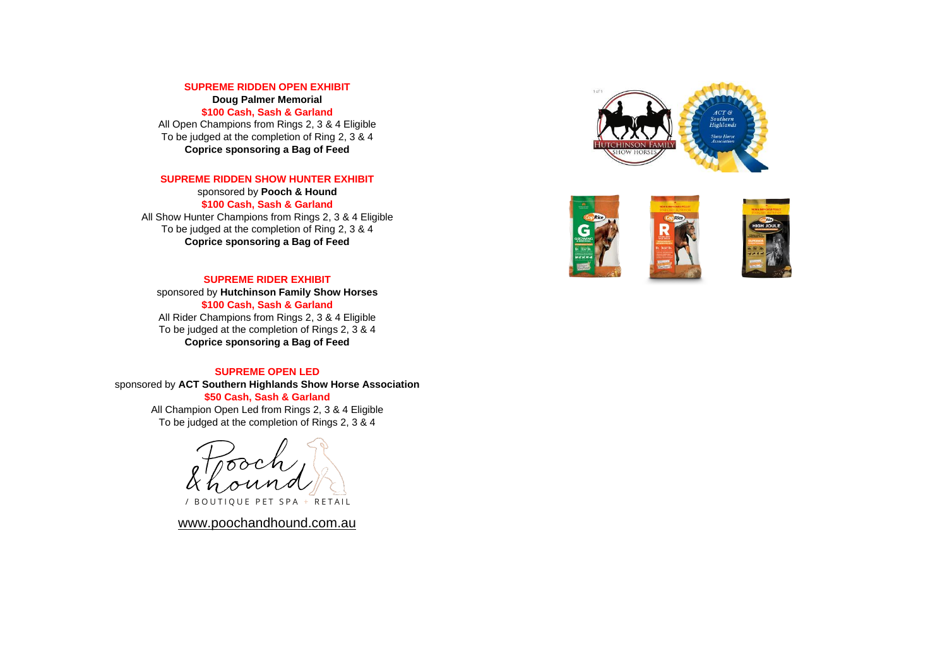#### **SUPREME RIDDEN OPEN EXHIBIT**

**Doug Palmer Memorial \$100 Cash, Sash & Garland**

All Open Champions from Rings 2, 3 & 4 Eligible To be judged at the completion of Ring 2, 3 & 4 **Coprice sponsoring a Bag of Feed**

#### **SUPREME RIDDEN SHOW HUNTER EXHIBIT**

sponsored by **Pooch & Hound \$100 Cash, Sash & Garland** All Show Hunter Champions from Rings 2, 3 & 4 Eligible To be judged at the completion of Ring 2, 3 & 4 **Coprice sponsoring a Bag of Feed**

#### **SUPREME RIDER EXHIBIT**

sponsored by **Hutchinson Family Show Horses \$100 Cash, Sash & Garland** All Rider Champions from Rings 2, 3 & 4 Eligible To be judged at the completion of Rings 2, 3 & 4 **Coprice sponsoring a Bag of Feed**

## **SUPREME OPEN LED**

sponsored by **ACT Southern Highlands Show Horse Association \$50 Cash, Sash & Garland** All Champion Open Led from Rings 2, 3 & 4 Eligible

To be judged at the completion of Rings 2, 3 & 4

/ BOUTIQUE PET SPA + RETAIL

[www.poochandhound.com.au](http://www.poochandhound.com.au/)



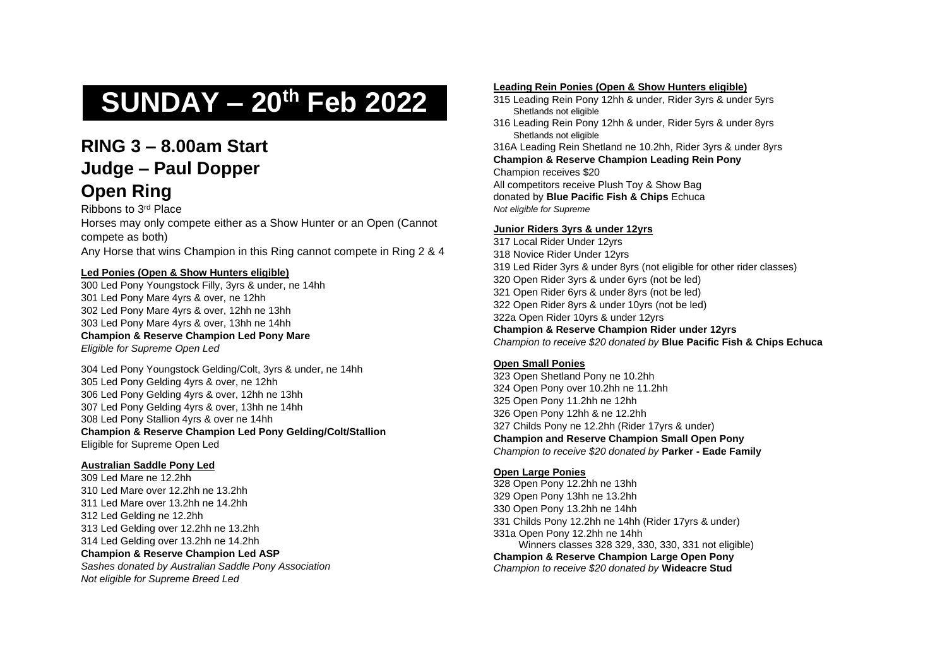# **SUNDAY – 20th Feb 2022**

# **RING 3 – 8.00am Start Judge – Paul Dopper Open Ring**

Ribbons to 3rd Place

Horses may only compete either as a Show Hunter or an Open (Cannot compete as both) Any Horse that wins Champion in this Ring cannot compete in Ring 2 & 4

#### **Led Ponies (Open & Show Hunters eligible)**

300 Led Pony Youngstock Filly, 3yrs & under, ne 14hh 301 Led Pony Mare 4yrs & over, ne 12hh 302 Led Pony Mare 4yrs & over, 12hh ne 13hh 303 Led Pony Mare 4yrs & over, 13hh ne 14hh **Champion & Reserve Champion Led Pony Mare**

*Eligible for Supreme Open Led*

 Led Pony Youngstock Gelding/Colt, 3yrs & under, ne 14hh Led Pony Gelding 4yrs & over, ne 12hh Led Pony Gelding 4yrs & over, 12hh ne 13hh Led Pony Gelding 4yrs & over, 13hh ne 14hh Led Pony Stallion 4yrs & over ne 14hh **Champion & Reserve Champion Led Pony Gelding/Colt/Stallion** Eligible for Supreme Open Led

## **Australian Saddle Pony Led**

309 Led Mare ne 12.2hh 310 Led Mare over 12.2hh ne 13.2hh 311 Led Mare over 13.2hh ne 14.2hh 312 Led Gelding ne 12.2hh 313 Led Gelding over 12.2hh ne 13.2hh 314 Led Gelding over 13.2hh ne 14.2hh **Champion & Reserve Champion Led ASP** *Sashes donated by Australian Saddle Pony Association*

*Not eligible for Supreme Breed Led*

#### **Leading Rein Ponies (Open & Show Hunters eligible)**

- 315 Leading Rein Pony 12hh & under, Rider 3yrs & under 5yrs Shetlands not eligible
- 316 Leading Rein Pony 12hh & under, Rider 5yrs & under 8yrs Shetlands not eligible

316A Leading Rein Shetland ne 10.2hh, Rider 3yrs & under 8yrs **Champion & Reserve Champion Leading Rein Pony** Champion receives \$20

All competitors receive Plush Toy & Show Bag donated by **Blue Pacific Fish & Chips** Echuca *Not eligible for Supreme*

#### **Junior Riders 3yrs & under 12yrs**

 Local Rider Under 12yrs Novice Rider Under 12yrs Led Rider 3yrs & under 8yrs (not eligible for other rider classes) Open Rider 3yrs & under 6yrs (not be led) Open Rider 6yrs & under 8yrs (not be led) Open Rider 8yrs & under 10yrs (not be led) 322a Open Rider 10yrs & under 12yrs **Champion & Reserve Champion Rider under 12yrs**  *Champion to receive \$20 donated by* **Blue Pacific Fish & Chips Echuca**

## **Open Small Ponies**

 Open Shetland Pony ne 10.2hh Open Pony over 10.2hh ne 11.2hh Open Pony 11.2hh ne 12hh Open Pony 12hh & ne 12.2hh Childs Pony ne 12.2hh (Rider 17yrs & under) **Champion and Reserve Champion Small Open Pony** *Champion to receive \$20 donated by* **Parker - Eade Family**

## **Open Large Ponies**

328 Open Pony 12.2hh ne 13hh 329 Open Pony 13hh ne 13.2hh 330 Open Pony 13.2hh ne 14hh 331 Childs Pony 12.2hh ne 14hh (Rider 17yrs & under) 331a Open Pony 12.2hh ne 14hh Winners classes 328 329, 330, 330, 331 not eligible) **Champion & Reserve Champion Large Open Pony** *Champion to receive \$20 donated by* **Wideacre Stud**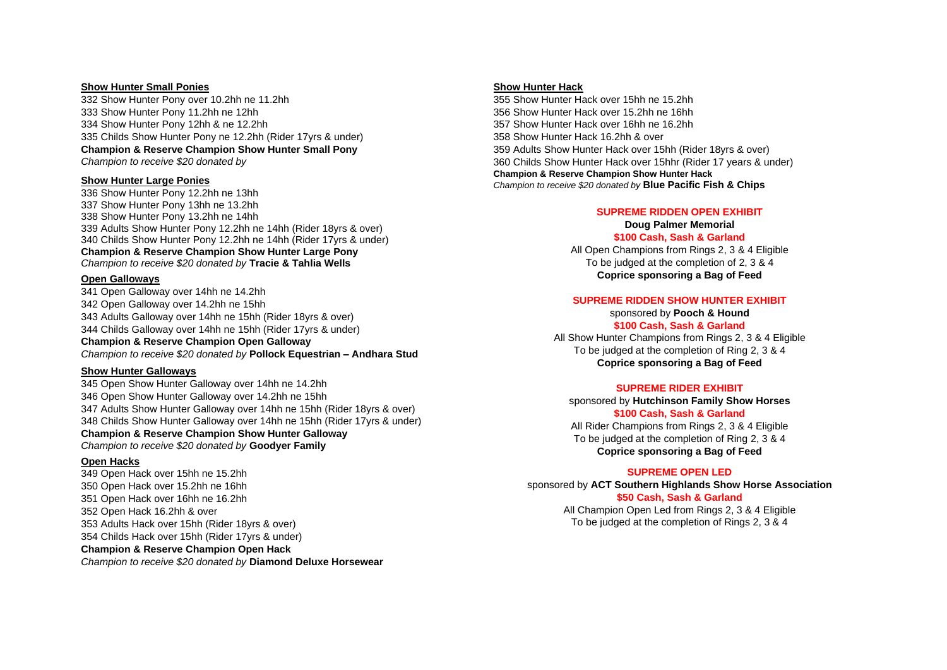#### **Show Hunter Small Ponies**

 Show Hunter Pony over 10.2hh ne 11.2hh Show Hunter Pony 11.2hh ne 12hh Show Hunter Pony 12hh & ne 12.2hh Childs Show Hunter Pony ne 12.2hh (Rider 17yrs & under) **Champion & Reserve Champion Show Hunter Small Pony**  *Champion to receive \$20 donated by*

#### **Show Hunter Large Ponies**

 Show Hunter Pony 12.2hh ne 13hh Show Hunter Pony 13hh ne 13.2hh Show Hunter Pony 13.2hh ne 14hh Adults Show Hunter Pony 12.2hh ne 14hh (Rider 18yrs & over) Childs Show Hunter Pony 12.2hh ne 14hh (Rider 17yrs & under) **Champion & Reserve Champion Show Hunter Large Pony** *Champion to receive \$20 donated by* **Tracie & Tahlia Wells**

#### **Open Galloways**

341 Open Galloway over 14hh ne 14.2hh 342 Open Galloway over 14.2hh ne 15hh 343 Adults Galloway over 14hh ne 15hh (Rider 18yrs & over) 344 Childs Galloway over 14hh ne 15hh (Rider 17yrs & under) **Champion & Reserve Champion Open Galloway** *Champion to receive \$20 donated by* **Pollock Equestrian – Andhara Stud**

#### **Show Hunter Galloways**

 Open Show Hunter Galloway over 14hh ne 14.2hh Open Show Hunter Galloway over 14.2hh ne 15hh Adults Show Hunter Galloway over 14hh ne 15hh (Rider 18yrs & over) Childs Show Hunter Galloway over 14hh ne 15hh (Rider 17yrs & under) **Champion & Reserve Champion Show Hunter Galloway** *Champion to receive \$20 donated by* **Goodyer Family**

#### **Open Hacks**

 Open Hack over 15hh ne 15.2hh Open Hack over 15.2hh ne 16hh Open Hack over 16hh ne 16.2hh Open Hack 16.2hh & over Adults Hack over 15hh (Rider 18yrs & over) Childs Hack over 15hh (Rider 17yrs & under) **Champion & Reserve Champion Open Hack** *Champion to receive \$20 donated by* **Diamond Deluxe Horsewear**

#### **Show Hunter Hack**

 Show Hunter Hack over 15hh ne 15.2hh Show Hunter Hack over 15.2hh ne 16hh Show Hunter Hack over 16hh ne 16.2hh Show Hunter Hack 16.2hh & over Adults Show Hunter Hack over 15hh (Rider 18yrs & over) Childs Show Hunter Hack over 15hhr (Rider 17 years & under) **Champion & Reserve Champion Show Hunter Hack** *Champion to receive \$20 donated by* **Blue Pacific Fish & Chips**

#### **SUPREME RIDDEN OPEN EXHIBIT**

**Doug Palmer Memorial \$100 Cash, Sash & Garland** All Open Champions from Rings 2, 3 & 4 Eligible To be judged at the completion of 2, 3 & 4 **Coprice sponsoring a Bag of Feed**

#### **SUPREME RIDDEN SHOW HUNTER EXHIBIT**

sponsored by **Pooch & Hound \$100 Cash, Sash & Garland**

All Show Hunter Champions from Rings 2, 3 & 4 Eligible To be judged at the completion of Ring 2, 3 & 4 **Coprice sponsoring a Bag of Feed**

#### **SUPREME RIDER EXHIBIT**

sponsored by **Hutchinson Family Show Horses \$100 Cash, Sash & Garland** All Rider Champions from Rings 2, 3 & 4 Eligible To be judged at the completion of Ring 2, 3 & 4 **Coprice sponsoring a Bag of Feed**

#### **SUPREME OPEN LED**

sponsored by **ACT Southern Highlands Show Horse Association \$50 Cash, Sash & Garland** All Champion Open Led from Rings 2, 3 & 4 Eligible

To be judged at the completion of Rings 2, 3 & 4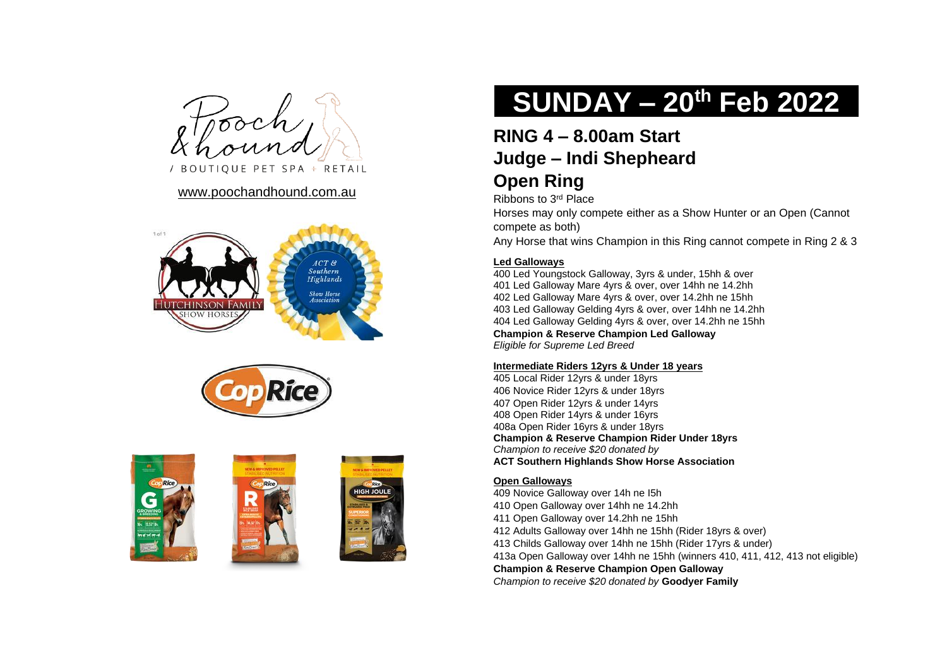/ BOUTIQUE PET SPA + RETAIL

# [www.poochandhound.com.au](http://www.poochandhound.com.au/)











# **SUNDAY – 20th Feb 2022**

# **RING 4 – 8.00am Start Judge – Indi Shepheard**

# **Open Ring**

Ribbons to 3rd Place

Horses may only compete either as a Show Hunter or an Open (Cannot compete as both)

Any Horse that wins Champion in this Ring cannot compete in Ring 2 & 3

# **Led Galloways**

400 Led Youngstock Galloway, 3yrs & under, 15hh & over 401 Led Galloway Mare 4yrs & over, over 14hh ne 14.2hh 402 Led Galloway Mare 4yrs & over, over 14.2hh ne 15hh 403 Led Galloway Gelding 4yrs & over, over 14hh ne 14.2hh 404 Led Galloway Gelding 4yrs & over, over 14.2hh ne 15hh **Champion & Reserve Champion Led Galloway** *Eligible for Supreme Led Breed*

# **Intermediate Riders 12yrs & Under 18 years**

405 Local Rider 12yrs & under 18yrs 406 Novice Rider 12yrs & under 18yrs 407 Open Rider 12yrs & under 14yrs 408 Open Rider 14yrs & under 16yrs 408a Open Rider 16yrs & under 18yrs **Champion & Reserve Champion Rider Under 18yrs** *Champion to receive \$20 donated by* **ACT Southern Highlands Show Horse Association**

# **Open Galloways**

409 Novice Galloway over 14h ne I5h

- 410 Open Galloway over 14hh ne 14.2hh
- 411 Open Galloway over 14.2hh ne 15hh
- 412 Adults Galloway over 14hh ne 15hh (Rider 18yrs & over)
- 413 Childs Galloway over 14hh ne 15hh (Rider 17yrs & under)
- 413a Open Galloway over 14hh ne 15hh (winners 410, 411, 412, 413 not eligible)

**Champion & Reserve Champion Open Galloway**

*Champion to receive \$20 donated by* **Goodyer Family**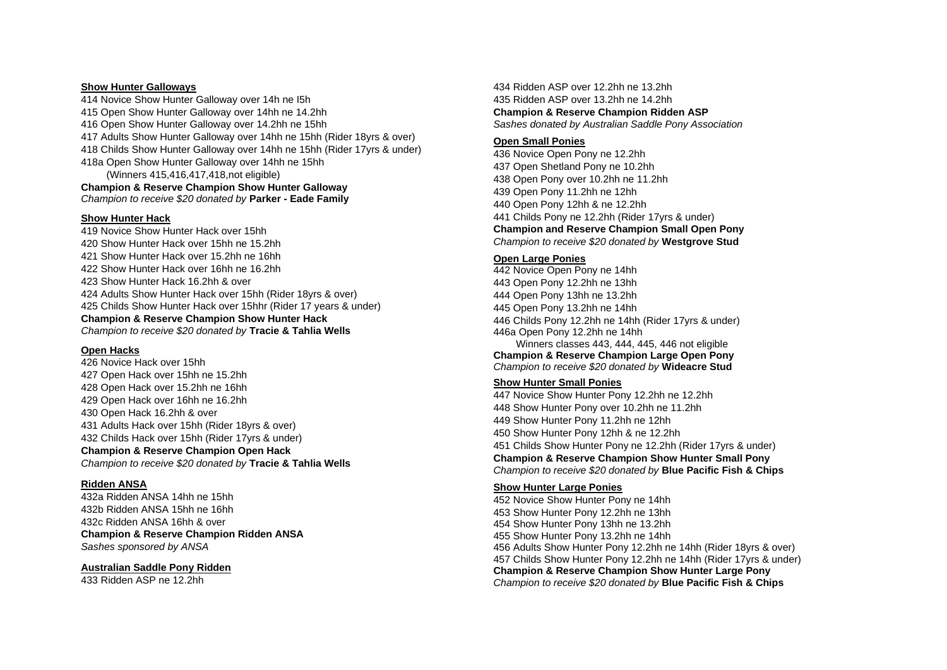#### **Show Hunter Galloways**

 Novice Show Hunter Galloway over 14h ne I5h Open Show Hunter Galloway over 14hh ne 14.2hh Open Show Hunter Galloway over 14.2hh ne 15hh Adults Show Hunter Galloway over 14hh ne 15hh (Rider 18yrs & over) Childs Show Hunter Galloway over 14hh ne 15hh (Rider 17yrs & under) 418a Open Show Hunter Galloway over 14hh ne 15hh (Winners 415,416,417,418,not eligible)

**Champion & Reserve Champion Show Hunter Galloway** *Champion to receive \$20 donated by* **Parker - Eade Family**

#### **Show Hunter Hack**

 Novice Show Hunter Hack over 15hh Show Hunter Hack over 15hh ne 15.2hh Show Hunter Hack over 15.2hh ne 16hh Show Hunter Hack over 16hh ne 16.2hh Show Hunter Hack 16.2hh & over Adults Show Hunter Hack over 15hh (Rider 18yrs & over) Childs Show Hunter Hack over 15hhr (Rider 17 years & under) **Champion & Reserve Champion Show Hunter Hack** *Champion to receive \$20 donated by* **Tracie & Tahlia Wells** 

#### **Open Hacks**

 Novice Hack over 15hh Open Hack over 15hh ne 15.2hh Open Hack over 15.2hh ne 16hh Open Hack over 16hh ne 16.2hh Open Hack 16.2hh & over Adults Hack over 15hh (Rider 18yrs & over) Childs Hack over 15hh (Rider 17yrs & under) **Champion & Reserve Champion Open Hack** *Champion to receive \$20 donated by* **Tracie & Tahlia Wells**

## **Ridden ANSA**

432a Ridden ANSA 14hh ne 15hh 432b Ridden ANSA 15hh ne 16hh 432c Ridden ANSA 16hh & over **Champion & Reserve Champion Ridden ANSA** *Sashes sponsored by ANSA*

#### **Australian Saddle Pony Ridden**

433 Ridden ASP ne 12.2hh

434 Ridden ASP over 12.2hh ne 13.2hh 435 Ridden ASP over 13.2hh ne 14.2hh **Champion & Reserve Champion Ridden ASP** *Sashes donated by Australian Saddle Pony Association*

## **Open Small Ponies**

 Novice Open Pony ne 12.2hh Open Shetland Pony ne 10.2hh Open Pony over 10.2hh ne 11.2hh Open Pony 11.2hh ne 12hh Open Pony 12hh & ne 12.2hh Childs Pony ne 12.2hh (Rider 17yrs & under) **Champion and Reserve Champion Small Open Pony** *Champion to receive \$20 donated by* **Westgrove Stud**

## **Open Large Ponies**

 Novice Open Pony ne 14hh Open Pony 12.2hh ne 13hh Open Pony 13hh ne 13.2hh Open Pony 13.2hh ne 14hh Childs Pony 12.2hh ne 14hh (Rider 17yrs & under) 446a Open Pony 12.2hh ne 14hh Winners classes 443, 444, 445, 446 not eligible

**Champion & Reserve Champion Large Open Pony** *Champion to receive \$20 donated by* **Wideacre Stud**

## **Show Hunter Small Ponies**

 Novice Show Hunter Pony 12.2hh ne 12.2hh Show Hunter Pony over 10.2hh ne 11.2hh Show Hunter Pony 11.2hh ne 12hh Show Hunter Pony 12hh & ne 12.2hh Childs Show Hunter Pony ne 12.2hh (Rider 17yrs & under) **Champion & Reserve Champion Show Hunter Small Pony**  *Champion to receive \$20 donated by* **Blue Pacific Fish & Chips**

#### **Show Hunter Large Ponies**

 Novice Show Hunter Pony ne 14hh Show Hunter Pony 12.2hh ne 13hh Show Hunter Pony 13hh ne 13.2hh Show Hunter Pony 13.2hh ne 14hh Adults Show Hunter Pony 12.2hh ne 14hh (Rider 18yrs & over) Childs Show Hunter Pony 12.2hh ne 14hh (Rider 17yrs & under) **Champion & Reserve Champion Show Hunter Large Pony** *Champion to receive \$20 donated by* **Blue Pacific Fish & Chips**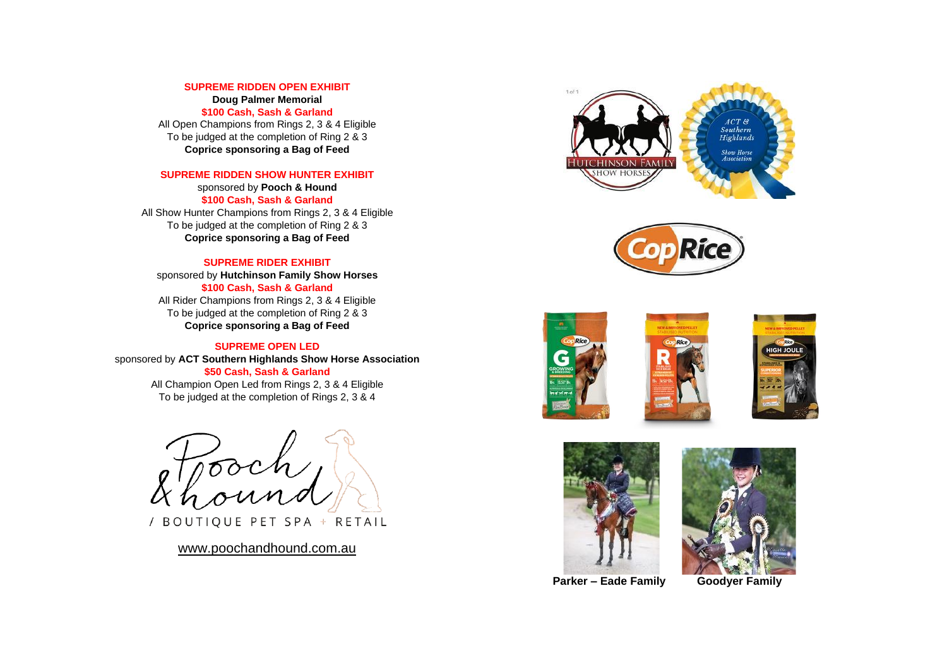#### **SUPREME RIDDEN OPEN EXHIBIT**

**Doug Palmer Memorial**

**\$100 Cash, Sash & Garland** All Open Champions from Rings 2, 3 & 4 Eligible To be judged at the completion of Ring 2 & 3

**Coprice sponsoring a Bag of Feed**

## **SUPREME RIDDEN SHOW HUNTER EXHIBIT**

sponsored by **Pooch & Hound \$100 Cash, Sash & Garland** All Show Hunter Champions from Rings 2, 3 & 4 Eligible To be judged at the completion of Ring 2 & 3 **Coprice sponsoring a Bag of Feed**

#### **SUPREME RIDER EXHIBIT**

sponsored by **Hutchinson Family Show Horses \$100 Cash, Sash & Garland** All Rider Champions from Rings 2, 3 & 4 Eligible To be judged at the completion of Ring 2 & 3 **Coprice sponsoring a Bag of Feed**

#### **SUPREME OPEN LED**

sponsored by **ACT Southern Highlands Show Horse Association \$50 Cash, Sash & Garland** All Champion Open Led from Rings 2, 3 & 4 Eligible To be judged at the completion of Rings 2, 3 & 4

/ BOUTIQUE PET SPA + RETAIL

[www.poochandhound.com.au](http://www.poochandhound.com.au/)











 **Parker – Eade Family Goodyer Family**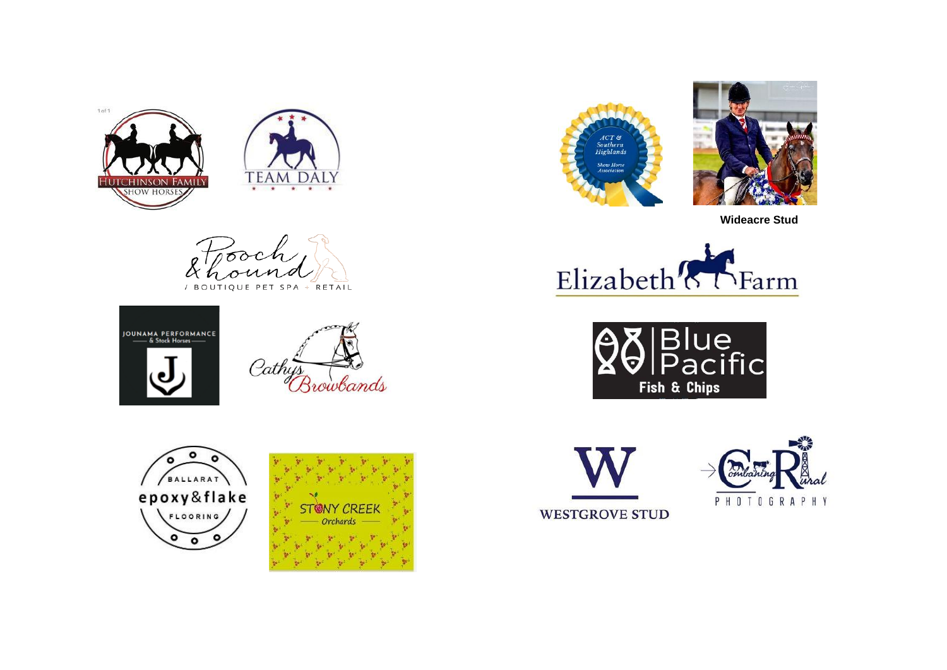



ಹಾ / BOUTIQUE PET SPA + RETAIL











 **Wideacre Stud**









**WESTGROVE STUD**